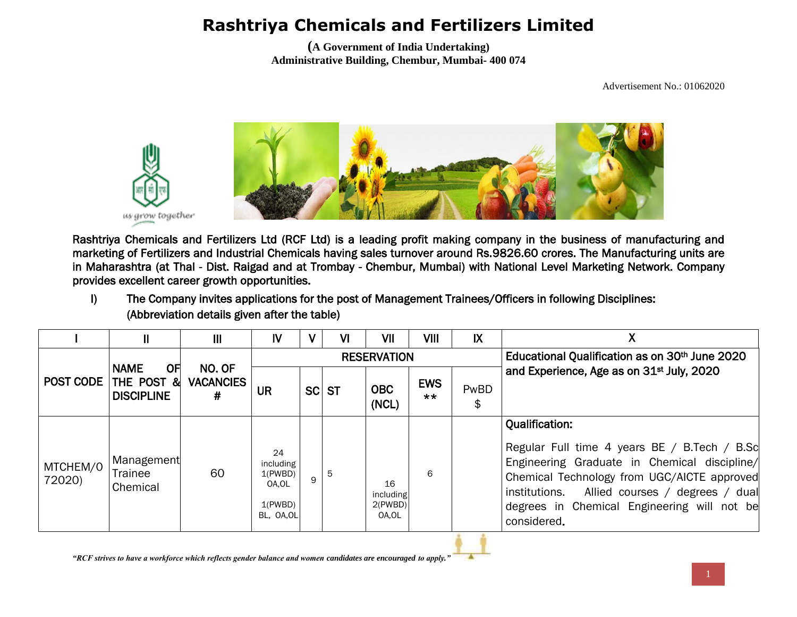**(A Government of India Undertaking) Administrative Building, Chembur, Mumbai- 400 074**

Advertisement No.: 01062020



Rashtriya Chemicals and Fertilizers Ltd (RCF Ltd) is a leading profit making company in the business of manufacturing and marketing of Fertilizers and Industrial Chemicals having sales turnover around Rs.9826.60 crores. The Manufacturing units are in Maharashtra (at Thal - Dist. Raigad and at Trombay - Chembur, Mumbai) with National Level Marketing Network. Company provides excellent career growth opportunities.

I) The Company invites applications for the post of Management Trainees/Officers in following Disciplines: (Abbreviation details given after the table)

|                    | II                                                    | $\mathbf{III}$                  | IV                                                           | V | <b>VI</b> | VII                                 | VIII                | IX         |                                                                                                                                                                                                                                                                                        |
|--------------------|-------------------------------------------------------|---------------------------------|--------------------------------------------------------------|---|-----------|-------------------------------------|---------------------|------------|----------------------------------------------------------------------------------------------------------------------------------------------------------------------------------------------------------------------------------------------------------------------------------------|
|                    |                                                       |                                 |                                                              |   |           | <b>RESERVATION</b>                  |                     |            | Educational Qualification as on 30th June 2020                                                                                                                                                                                                                                         |
| <b>POST CODE</b>   | <b>NAME</b><br>OFI<br>THE POST &<br><b>DISCIPLINE</b> | NO. OF<br><b>VACANCIES</b><br># | UR                                                           |   | SC ST     | <b>OBC</b><br>(NCL)                 | <b>EWS</b><br>$***$ | PwBD<br>\$ | and Experience, Age as on 31 <sup>st</sup> July, 2020                                                                                                                                                                                                                                  |
| MTCHEM/0<br>72020) | Management<br>Trainee<br>Chemical                     | 60                              | 24<br>including<br>1(PWBD)<br>OA.OL<br>1(PWBD)<br>BL, OA, OL | 9 | 5         | 16<br>including<br>2(PWBD)<br>OA,OL | 6                   |            | <b>Qualification:</b><br>Regular Full time 4 years BE / B.Tech / B.Sc<br>Engineering Graduate in Chemical discipline/<br>Chemical Technology from UGC/AICTE approved<br>Allied courses / degrees / dual<br>institutions.<br>degrees in Chemical Engineering will not be<br>considered. |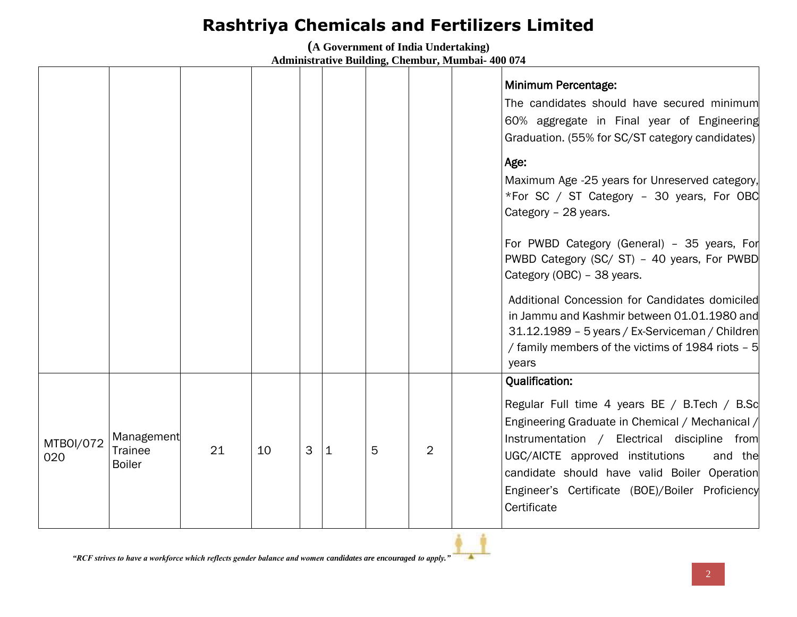**(A Government of India Undertaking)**

|                  |                                               |    |    |   |   |   |                | Minimum Percentage:<br>The candidates should have secured minimum<br>60% aggregate in Final year of Engineering<br>Graduation. (55% for SC/ST category candidates)<br>Age:<br>Maximum Age -25 years for Unreserved category,<br>*For SC / ST Category - 30 years, For OBC<br>Category - 28 years.<br>For PWBD Category (General) - 35 years, For<br>PWBD Category (SC/ ST) - 40 years, For PWBD<br>Category (OBC) - 38 years.<br>Additional Concession for Candidates domiciled<br>in Jammu and Kashmir between 01.01.1980 and<br>31.12.1989 - 5 years / Ex-Serviceman / Children<br>/ family members of the victims of 1984 riots - 5<br>years |
|------------------|-----------------------------------------------|----|----|---|---|---|----------------|-------------------------------------------------------------------------------------------------------------------------------------------------------------------------------------------------------------------------------------------------------------------------------------------------------------------------------------------------------------------------------------------------------------------------------------------------------------------------------------------------------------------------------------------------------------------------------------------------------------------------------------------------|
| MTBOI/072<br>020 | Management<br><b>Trainee</b><br><b>Boiler</b> | 21 | 10 | 3 | 1 | 5 | $\overline{2}$ | <b>Qualification:</b><br>Regular Full time 4 years BE / B.Tech / B.Sc<br>Engineering Graduate in Chemical / Mechanical /<br>Instrumentation / Electrical discipline from<br>UGC/AICTE approved institutions<br>and the<br>candidate should have valid Boiler Operation<br>Engineer's Certificate (BOE)/Boiler Proficiency<br>Certificate                                                                                                                                                                                                                                                                                                        |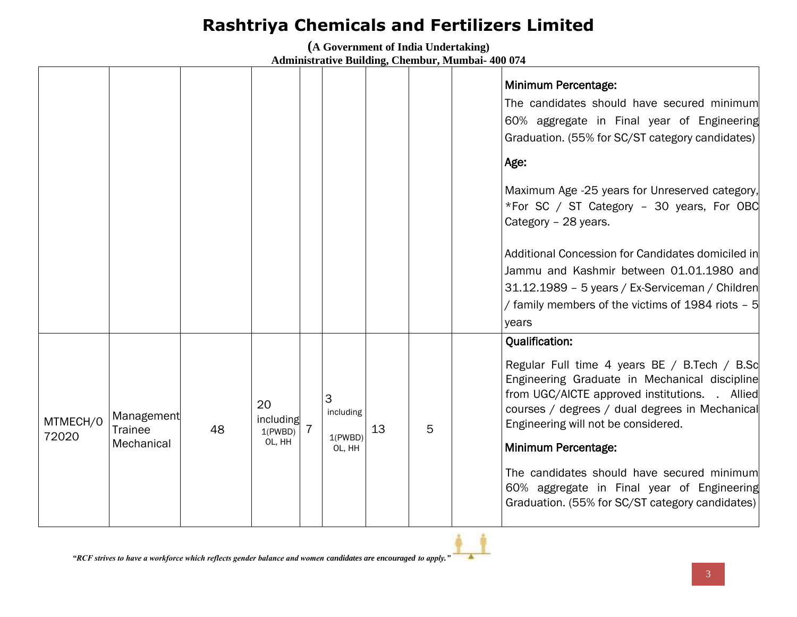**(A Government of India Undertaking)**

|                   |                                            |    |                                      |                                     |    |   | <b>Minimum Percentage:</b><br>The candidates should have secured minimum<br>60% aggregate in Final year of Engineering<br>Graduation. (55% for SC/ST category candidates)<br>Age:<br>Maximum Age -25 years for Unreserved category,<br>*For SC / ST Category - 30 years, For OBC<br>Category - 28 years.<br>Additional Concession for Candidates domiciled in<br>Jammu and Kashmir between 01.01.1980 and<br>31.12.1989 - 5 years / Ex-Serviceman / Children |
|-------------------|--------------------------------------------|----|--------------------------------------|-------------------------------------|----|---|--------------------------------------------------------------------------------------------------------------------------------------------------------------------------------------------------------------------------------------------------------------------------------------------------------------------------------------------------------------------------------------------------------------------------------------------------------------|
|                   |                                            |    |                                      |                                     |    |   | / family members of the victims of 1984 riots - 5<br>years                                                                                                                                                                                                                                                                                                                                                                                                   |
| MTMECH/0<br>72020 | Management<br><b>Trainee</b><br>Mechanical | 48 | 20<br>including<br>1(PWBD)<br>OL, HH | 3<br>including<br>1(PWBD)<br>OL, HH | 13 | 5 | <b>Qualification:</b><br>Regular Full time 4 years BE / B.Tech / B.Sc<br>Engineering Graduate in Mechanical discipline<br>from UGC/AICTE approved institutions. . Allied<br>courses / degrees / dual degrees in Mechanical<br>Engineering will not be considered.<br>Minimum Percentage:<br>The candidates should have secured minimum<br>60% aggregate in Final year of Engineering<br>Graduation. (55% for SC/ST category candidates)                      |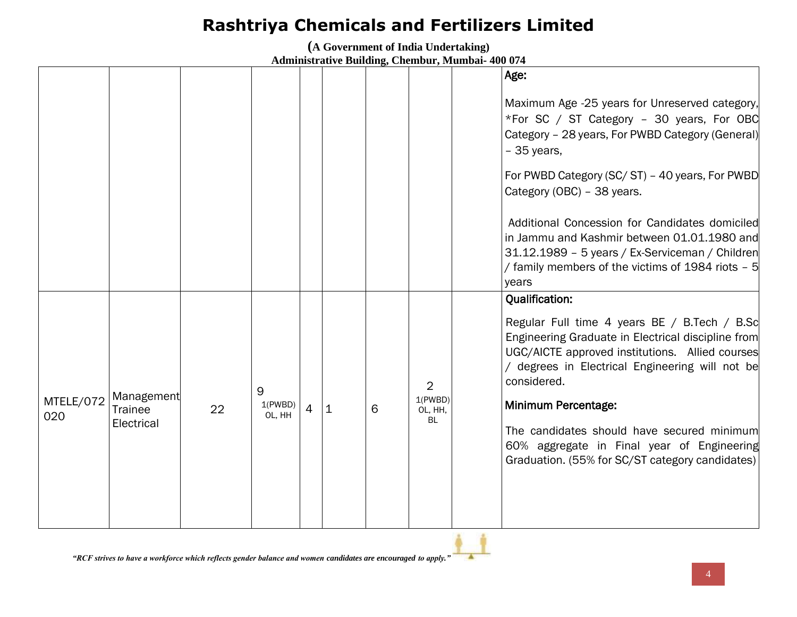**(A Government of India Undertaking)**

|                  |                                            |    |                        |                |           |   |                                            | Age:                                                                                                                                                                                                                                                                                                                                                                                                                   |
|------------------|--------------------------------------------|----|------------------------|----------------|-----------|---|--------------------------------------------|------------------------------------------------------------------------------------------------------------------------------------------------------------------------------------------------------------------------------------------------------------------------------------------------------------------------------------------------------------------------------------------------------------------------|
|                  |                                            |    |                        |                |           |   |                                            | Maximum Age -25 years for Unreserved category,<br>*For SC / ST Category - 30 years, For OBC<br>Category - 28 years, For PWBD Category (General)<br>$-35$ years,                                                                                                                                                                                                                                                        |
|                  |                                            |    |                        |                |           |   |                                            | For PWBD Category (SC/ST) - 40 years, For PWBD<br>Category (OBC) - 38 years.                                                                                                                                                                                                                                                                                                                                           |
|                  |                                            |    |                        |                |           |   |                                            | Additional Concession for Candidates domiciled<br>in Jammu and Kashmir between 01.01.1980 and<br>31.12.1989 - 5 years / Ex-Serviceman / Children<br>/ family members of the victims of 1984 riots - 5<br>years                                                                                                                                                                                                         |
| MTELE/072<br>020 | Management<br><b>Trainee</b><br>Electrical | 22 | 9<br>1(PWBD)<br>OL, HH | $\overline{4}$ | $\vert$ 1 | 6 | $\overline{2}$<br>1(PWBD)<br>OL, HH,<br>BL | <b>Qualification:</b><br>Regular Full time 4 years BE / B.Tech / B.Sc<br>Engineering Graduate in Electrical discipline from<br>UGC/AICTE approved institutions. Allied courses<br>/ degrees in Electrical Engineering will not be<br>considered.<br>Minimum Percentage:<br>The candidates should have secured minimum<br>60% aggregate in Final year of Engineering<br>Graduation. (55% for SC/ST category candidates) |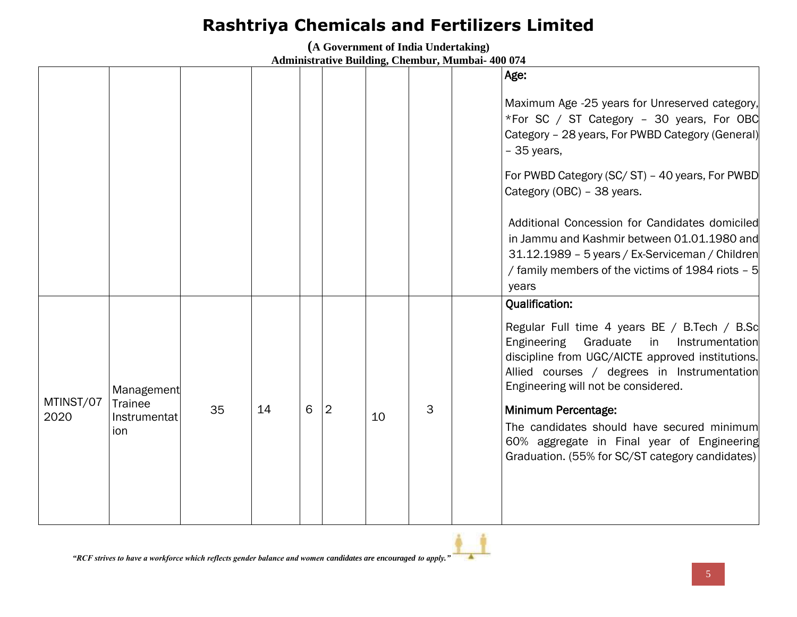**(A Government of India Undertaking)**

|                   |                                       |    |    |   |   |    |   | Age:                                                                                                                                                                                                                                                                |
|-------------------|---------------------------------------|----|----|---|---|----|---|---------------------------------------------------------------------------------------------------------------------------------------------------------------------------------------------------------------------------------------------------------------------|
|                   |                                       |    |    |   |   |    |   | Maximum Age -25 years for Unreserved category,<br>*For SC / ST Category - 30 years, For OBC<br>Category - 28 years, For PWBD Category (General)<br>$-35$ years,                                                                                                     |
|                   |                                       |    |    |   |   |    |   | For PWBD Category (SC/ST) - 40 years, For PWBD<br>Category (OBC) - 38 years.                                                                                                                                                                                        |
|                   |                                       |    |    |   |   |    |   | Additional Concession for Candidates domiciled<br>in Jammu and Kashmir between 01.01.1980 and<br>31.12.1989 - 5 years / Ex-Serviceman / Children<br>/ family members of the victims of 1984 riots - 5<br>years                                                      |
|                   | Management                            |    |    |   |   |    |   | <b>Qualification:</b><br>Regular Full time 4 years BE / B.Tech / B.Sc<br>Engineering<br>Graduate<br>Instrumentation<br>in<br>discipline from UGC/AICTE approved institutions.<br>Allied courses / degrees in Instrumentation<br>Engineering will not be considered. |
| MTINST/07<br>2020 | <b>Trainee</b><br>Instrumentat<br>ion | 35 | 14 | 6 | 2 | 10 | 3 | Minimum Percentage:<br>The candidates should have secured minimum<br>60% aggregate in Final year of Engineering<br>Graduation. (55% for SC/ST category candidates)                                                                                                  |
|                   |                                       |    |    |   |   |    |   |                                                                                                                                                                                                                                                                     |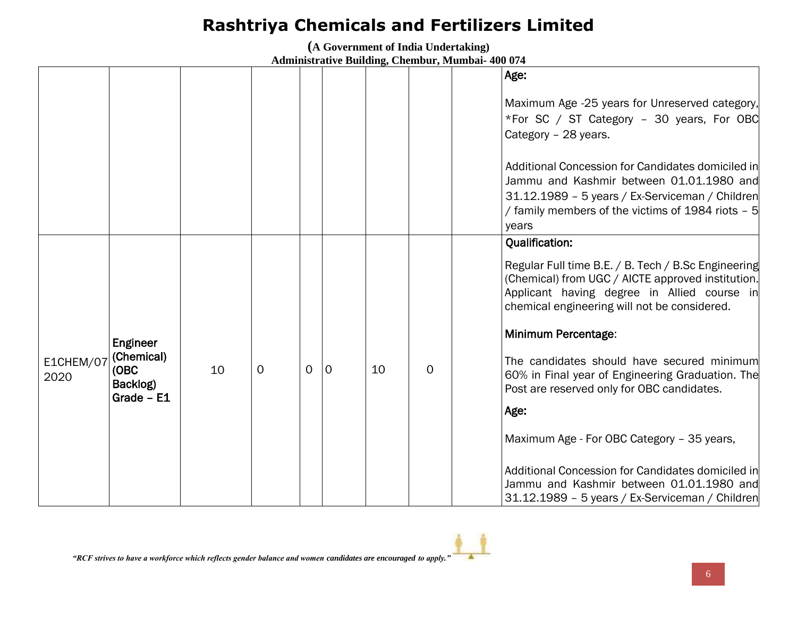**(A Government of India Undertaking)**

|                   |                                                            |    |             |                |   |    |          | Age:                                                                                                                                                                                                                                                                                                                                                                                                           |
|-------------------|------------------------------------------------------------|----|-------------|----------------|---|----|----------|----------------------------------------------------------------------------------------------------------------------------------------------------------------------------------------------------------------------------------------------------------------------------------------------------------------------------------------------------------------------------------------------------------------|
|                   |                                                            |    |             |                |   |    |          | Maximum Age -25 years for Unreserved category,<br>*For SC / ST Category - 30 years, For OBC<br>Category - 28 years.                                                                                                                                                                                                                                                                                            |
|                   |                                                            |    |             |                |   |    |          | Additional Concession for Candidates domiciled in<br>Jammu and Kashmir between 01.01.1980 and<br>31.12.1989 - 5 years / Ex-Serviceman / Children<br>/ family members of the victims of 1984 riots - 5<br>years                                                                                                                                                                                                 |
| E1CHEM/07<br>2020 | Engineer<br>(Chemical)<br>(OBC<br>Backlog)<br>Grade $- E1$ | 10 | $\mathbf 0$ | $\overline{0}$ | 0 | 10 | $\Omega$ | <b>Qualification:</b><br>Regular Full time B.E. / B. Tech / B.Sc Engineering<br>(Chemical) from UGC / AICTE approved institution.<br>Applicant having degree in Allied course in<br>chemical engineering will not be considered.<br><b>Minimum Percentage:</b><br>The candidates should have secured minimum<br>60% in Final year of Engineering Graduation. The<br>Post are reserved only for OBC candidates. |
|                   |                                                            |    |             |                |   |    |          | Age:<br>Maximum Age - For OBC Category - 35 years,<br>Additional Concession for Candidates domiciled in<br>Jammu and Kashmir between 01.01.1980 and<br>31.12.1989 - 5 years / Ex-Serviceman / Children                                                                                                                                                                                                         |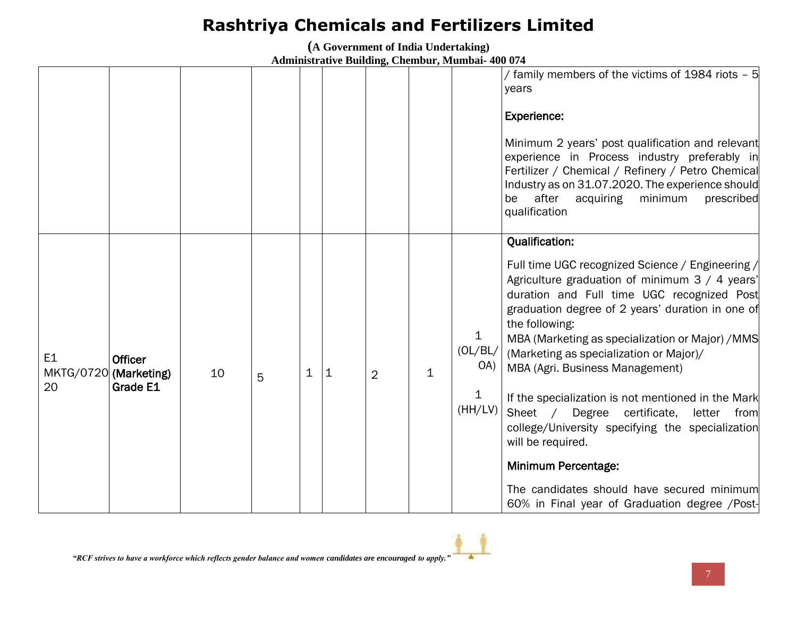**(A Government of India Undertaking)**

|                      |                                                     |    |   |             |   |                |   |                                     | / family members of the victims of 1984 riots - 5<br>years<br><b>Experience:</b><br>Minimum 2 years' post qualification and relevant<br>experience in Process industry preferably in<br>Fertilizer / Chemical / Refinery / Petro Chemical<br>Industry as on 31.07.2020. The experience should<br>after<br>minimum<br>be<br>acquiring<br>prescribed<br>qualification                                                                                                                                                                                                                                                                                                                            |
|----------------------|-----------------------------------------------------|----|---|-------------|---|----------------|---|-------------------------------------|------------------------------------------------------------------------------------------------------------------------------------------------------------------------------------------------------------------------------------------------------------------------------------------------------------------------------------------------------------------------------------------------------------------------------------------------------------------------------------------------------------------------------------------------------------------------------------------------------------------------------------------------------------------------------------------------|
| E <sub>1</sub><br>20 | <b>Officer</b><br>MKTG/0720 (Marketing)<br>Grade E1 | 10 | 5 | $\mathbf 1$ | 1 | $\overline{2}$ | 1 | 1<br>(OL/BL/<br>OA)<br>1<br>(HH/LV) | <b>Qualification:</b><br>Full time UGC recognized Science / Engineering /<br>Agriculture graduation of minimum 3 / 4 years'<br>duration and Full time UGC recognized Post<br>graduation degree of 2 years' duration in one of<br>the following:<br>MBA (Marketing as specialization or Major) / MMS<br>(Marketing as specialization or Major)/<br>MBA (Agri. Business Management)<br>If the specialization is not mentioned in the Mark<br>Sheet / Degree certificate,<br>letter<br>from<br>college/University specifying the specialization<br>will be required.<br><b>Minimum Percentage:</b><br>The candidates should have secured minimum<br>60% in Final year of Graduation degree /Post- |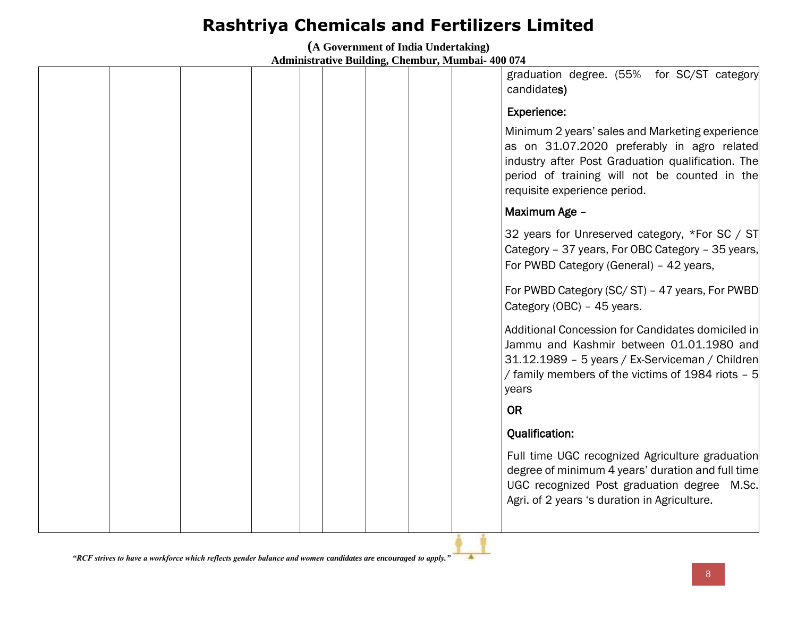**(A Government of India Undertaking)**

**Administrative Building, Chembur, Mumbai- 400 074**

|  |  |  |  | graduation degree. (55% for SC/ST category<br>candidates)                                                                                                                                                                            |
|--|--|--|--|--------------------------------------------------------------------------------------------------------------------------------------------------------------------------------------------------------------------------------------|
|  |  |  |  | <b>Experience:</b>                                                                                                                                                                                                                   |
|  |  |  |  | Minimum 2 years' sales and Marketing experience<br>as on 31.07.2020 preferably in agro related<br>industry after Post Graduation qualification. The<br>period of training will not be counted in the<br>requisite experience period. |
|  |  |  |  | Maximum Age -                                                                                                                                                                                                                        |
|  |  |  |  | 32 years for Unreserved category, *For SC / ST<br>Category - 37 years, For OBC Category - 35 years,<br>For PWBD Category (General) - 42 years,                                                                                       |
|  |  |  |  | For PWBD Category (SC/ST) - 47 years, For PWBD<br>Category (OBC) - 45 years.                                                                                                                                                         |
|  |  |  |  | Additional Concession for Candidates domiciled in<br>Jammu and Kashmir between 01.01.1980 and<br>31.12.1989 - 5 years / Ex-Serviceman / Children<br>/ family members of the victims of 1984 riots - 5<br>years                       |
|  |  |  |  | <b>OR</b>                                                                                                                                                                                                                            |
|  |  |  |  | <b>Qualification:</b>                                                                                                                                                                                                                |
|  |  |  |  | Full time UGC recognized Agriculture graduation<br>degree of minimum 4 years' duration and full time<br>UGC recognized Post graduation degree M.Sc.<br>Agri. of 2 years 's duration in Agriculture.                                  |
|  |  |  |  |                                                                                                                                                                                                                                      |

 $\blacktriangle$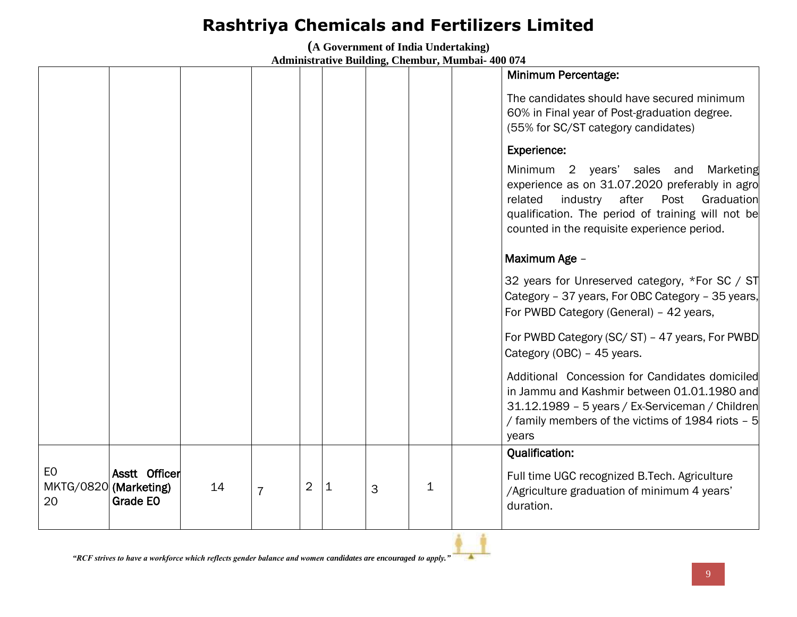**(A Government of India Undertaking)**

|                                   |                           |    |                |                |           |   |   | Minimum Percentage:                                                                                                                                                                                                                           |
|-----------------------------------|---------------------------|----|----------------|----------------|-----------|---|---|-----------------------------------------------------------------------------------------------------------------------------------------------------------------------------------------------------------------------------------------------|
|                                   |                           |    |                |                |           |   |   | The candidates should have secured minimum<br>60% in Final year of Post-graduation degree.<br>(55% for SC/ST category candidates)                                                                                                             |
|                                   |                           |    |                |                |           |   |   | <b>Experience:</b>                                                                                                                                                                                                                            |
|                                   |                           |    |                |                |           |   |   | Minimum 2 years' sales and Marketing<br>experience as on 31.07.2020 preferably in agro<br>after Post<br>industry<br>related<br>Graduation<br>qualification. The period of training will not be<br>counted in the requisite experience period. |
|                                   |                           |    |                |                |           |   |   | Maximum Age -                                                                                                                                                                                                                                 |
|                                   |                           |    |                |                |           |   |   | 32 years for Unreserved category, *For SC / ST<br>Category - 37 years, For OBC Category - 35 years,<br>For PWBD Category (General) - 42 years,                                                                                                |
|                                   |                           |    |                |                |           |   |   | For PWBD Category (SC/ST) - 47 years, For PWBD<br>Category (OBC) - 45 years.                                                                                                                                                                  |
|                                   |                           |    |                |                |           |   |   | Additional Concession for Candidates domiciled<br>in Jammu and Kashmir between 01.01.1980 and<br>31.12.1989 - 5 years / Ex-Serviceman / Children<br>/ family members of the victims of 1984 riots - 5<br>years                                |
|                                   |                           |    |                |                |           |   |   | <b>Qualification:</b>                                                                                                                                                                                                                         |
| EO<br>MKTG/0820 (Marketing)<br>20 | Asstt Officer<br>Grade EO | 14 | $\overline{7}$ | $\overline{2}$ | $\vert$ 1 | 3 | 1 | Full time UGC recognized B.Tech. Agriculture<br>/Agriculture graduation of minimum 4 years'<br>duration.                                                                                                                                      |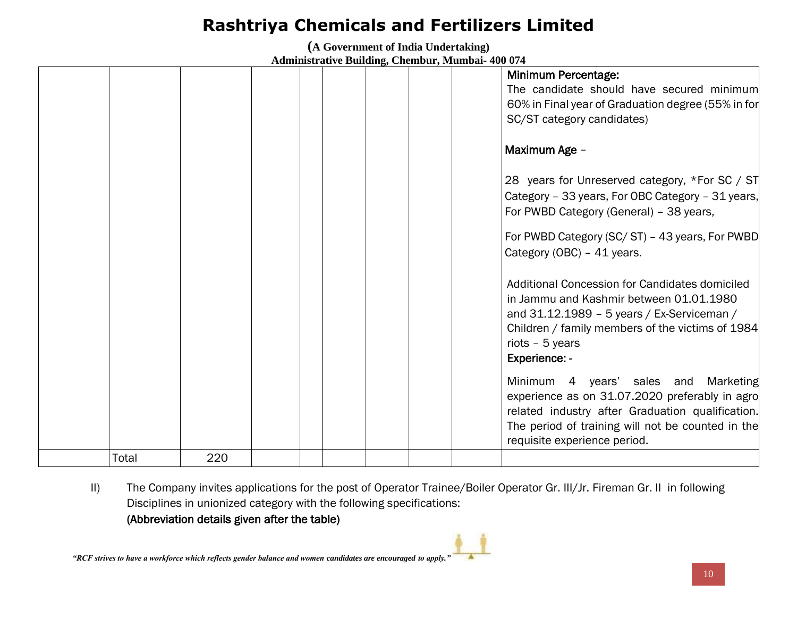**(A Government of India Undertaking)**

**Administrative Building, Chembur, Mumbai- 400 074**

|       |     |  |  |  | Minimum Percentage:                                |
|-------|-----|--|--|--|----------------------------------------------------|
|       |     |  |  |  | The candidate should have secured minimum          |
|       |     |  |  |  | 60% in Final year of Graduation degree (55% in for |
|       |     |  |  |  | SC/ST category candidates)                         |
|       |     |  |  |  |                                                    |
|       |     |  |  |  | Maximum Age -                                      |
|       |     |  |  |  |                                                    |
|       |     |  |  |  | 28 years for Unreserved category, *For SC / ST     |
|       |     |  |  |  | Category - 33 years, For OBC Category - 31 years,  |
|       |     |  |  |  | For PWBD Category (General) - 38 years,            |
|       |     |  |  |  | For PWBD Category (SC/ST) - 43 years, For PWBD     |
|       |     |  |  |  | Category (OBC) - 41 years.                         |
|       |     |  |  |  |                                                    |
|       |     |  |  |  | Additional Concession for Candidates domiciled     |
|       |     |  |  |  | in Jammu and Kashmir between 01.01.1980            |
|       |     |  |  |  | and 31.12.1989 - 5 years / Ex-Serviceman /         |
|       |     |  |  |  | Children / family members of the victims of 1984   |
|       |     |  |  |  | riots $-5$ years                                   |
|       |     |  |  |  | Experience: -                                      |
|       |     |  |  |  |                                                    |
|       |     |  |  |  | Minimum 4 years' sales and Marketing               |
|       |     |  |  |  | experience as on 31.07.2020 preferably in agro     |
|       |     |  |  |  | related industry after Graduation qualification.   |
|       |     |  |  |  | The period of training will not be counted in the  |
|       |     |  |  |  | requisite experience period.                       |
| Total | 220 |  |  |  |                                                    |

II) The Company invites applications for the post of Operator Trainee/Boiler Operator Gr. III/Jr. Fireman Gr. II in following Disciplines in unionized category with the following specifications:

### (Abbreviation details given after the table)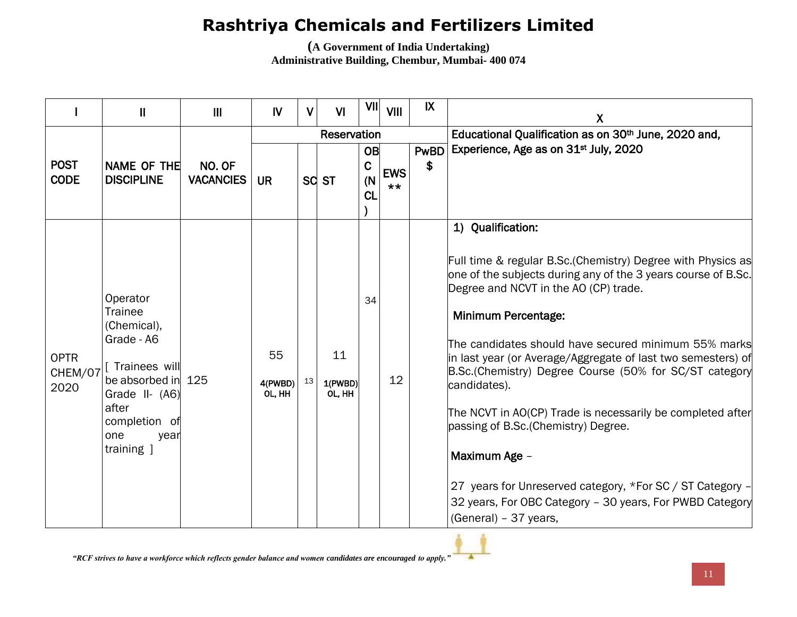**(A Government of India Undertaking) Administrative Building, Chembur, Mumbai- 400 074**

|                                | $\mathbf{I}$                                                                                                                                                            | $\mathbf{III}$             | IV                      | V  | VI                      | VII                            | <b>VIII</b>         | $\mathsf{IX}$     | X                                                                                                                                                                                                                                                                                                                                                                                                                                                                                                                                                                                                                                                                                             |
|--------------------------------|-------------------------------------------------------------------------------------------------------------------------------------------------------------------------|----------------------------|-------------------------|----|-------------------------|--------------------------------|---------------------|-------------------|-----------------------------------------------------------------------------------------------------------------------------------------------------------------------------------------------------------------------------------------------------------------------------------------------------------------------------------------------------------------------------------------------------------------------------------------------------------------------------------------------------------------------------------------------------------------------------------------------------------------------------------------------------------------------------------------------|
|                                |                                                                                                                                                                         |                            |                         |    | Reservation             |                                |                     |                   | Educational Qualification as on 30th June, 2020 and,                                                                                                                                                                                                                                                                                                                                                                                                                                                                                                                                                                                                                                          |
| <b>POST</b><br><b>CODE</b>     | NAME OF THE<br><b>DISCIPLINE</b>                                                                                                                                        | NO. OF<br><b>VACANCIES</b> | <b>UR</b>               |    | SC ST                   | OB<br>$\mathbf C$<br>(N)<br>CL | <b>EWS</b><br>$***$ | <b>PwBD</b><br>\$ | Experience, Age as on 31 <sup>st</sup> July, 2020                                                                                                                                                                                                                                                                                                                                                                                                                                                                                                                                                                                                                                             |
| <b>OPTR</b><br>CHEM/07<br>2020 | Operator<br><b>Trainee</b><br>(Chemical),<br>Grade - A6<br>Trainees will<br>be absorbed in 125<br>Grade II- (A6)<br>after<br>completion of<br>one<br>year<br>training 1 |                            | 55<br>4(PWBD)<br>OL, HH | 13 | 11<br>1(PWBD)<br>OL, HH | 34                             | 12                  |                   | 1) Qualification:<br>Full time & regular B.Sc. (Chemistry) Degree with Physics as<br>one of the subjects during any of the 3 years course of B.Sc.<br>Degree and NCVT in the AO (CP) trade.<br>Minimum Percentage:<br>The candidates should have secured minimum 55% marks<br>in last year (or Average/Aggregate of last two semesters) of<br>B.Sc.(Chemistry) Degree Course (50% for SC/ST category<br>candidates).<br>The NCVT in AO(CP) Trade is necessarily be completed after<br>passing of B.Sc. (Chemistry) Degree.<br>Maximum Age -<br>27 years for Unreserved category, *For SC / ST Category -<br>32 years, For OBC Category - 30 years, For PWBD Category<br>(General) - 37 years, |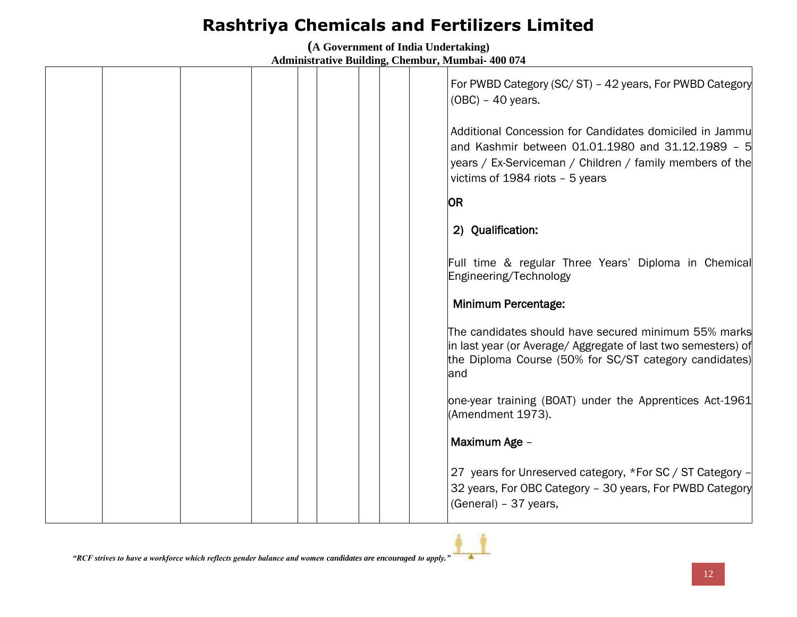**(A Government of India Undertaking) Administrative Building, Chembur, Mumbai- 400 074**

|  |  |  | For PWBD Category (SC/ST) - 42 years, For PWBD Category<br>$(OBC) - 40$ years.                                                                                                                              |
|--|--|--|-------------------------------------------------------------------------------------------------------------------------------------------------------------------------------------------------------------|
|  |  |  | Additional Concession for Candidates domiciled in Jammu<br>and Kashmir between 01.01.1980 and 31.12.1989 - 5<br>years / Ex-Serviceman / Children / family members of the<br>victims of 1984 riots - 5 years |
|  |  |  | <b>OR</b>                                                                                                                                                                                                   |
|  |  |  | 2) Qualification:                                                                                                                                                                                           |
|  |  |  | Full time & regular Three Years' Diploma in Chemical<br>Engineering/Technology                                                                                                                              |
|  |  |  | <b>Minimum Percentage:</b>                                                                                                                                                                                  |
|  |  |  | The candidates should have secured minimum 55% marks<br>in last year (or Average/ Aggregate of last two semesters) of<br>the Diploma Course (50% for SC/ST category candidates)<br>land                     |
|  |  |  | one-year training (BOAT) under the Apprentices Act-1961<br>(Amendment 1973).                                                                                                                                |
|  |  |  | Maximum Age -                                                                                                                                                                                               |
|  |  |  | 27 years for Unreserved category, *For SC / ST Category -<br>32 years, For OBC Category - 30 years, For PWBD Category<br>(General) - 37 years,                                                              |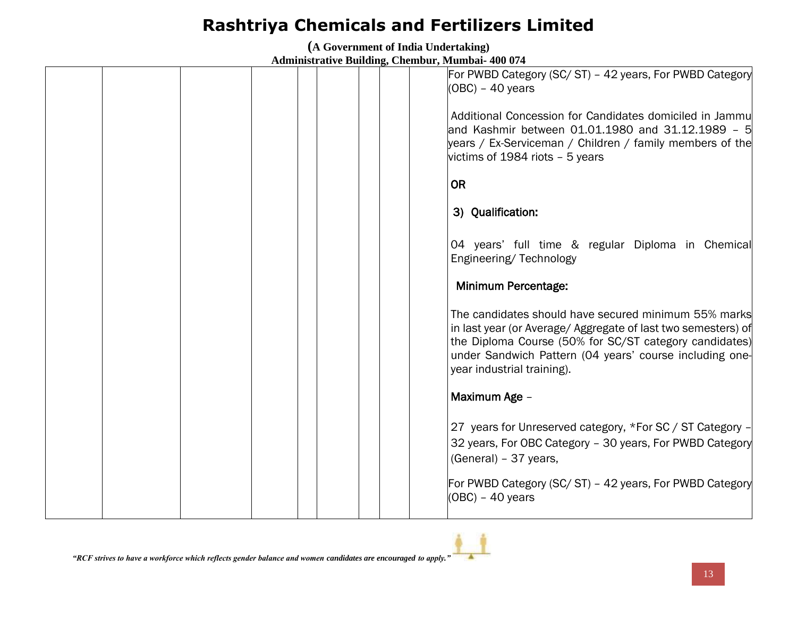**(A Government of India Undertaking)**

|  |  |  |  | For PWBD Category (SC/ST) - 42 years, For PWBD Category<br>$(OBC) - 40$ years<br>Additional Concession for Candidates domiciled in Jammul                                                                                                                                |
|--|--|--|--|--------------------------------------------------------------------------------------------------------------------------------------------------------------------------------------------------------------------------------------------------------------------------|
|  |  |  |  | and Kashmir between 01.01.1980 and 31.12.1989 - 5<br>years / Ex-Serviceman / Children / family members of the<br>victims of 1984 riots $-5$ years                                                                                                                        |
|  |  |  |  | <b>OR</b>                                                                                                                                                                                                                                                                |
|  |  |  |  | 3) Qualification:                                                                                                                                                                                                                                                        |
|  |  |  |  | 04 years' full time & regular Diploma in Chemical<br>Engineering/Technology                                                                                                                                                                                              |
|  |  |  |  | <b>Minimum Percentage:</b>                                                                                                                                                                                                                                               |
|  |  |  |  | The candidates should have secured minimum 55% marks<br>in last year (or Average/ Aggregate of last two semesters) of<br>the Diploma Course (50% for SC/ST category candidates)<br>under Sandwich Pattern (04 years' course including one-<br>year industrial training). |
|  |  |  |  | Maximum Age -                                                                                                                                                                                                                                                            |
|  |  |  |  | 27 years for Unreserved category, *For SC / ST Category -<br>32 years, For OBC Category - 30 years, For PWBD Category<br>(General) - 37 years,                                                                                                                           |
|  |  |  |  | For PWBD Category (SC/ST) - 42 years, For PWBD Category<br>$(OBC) - 40$ years                                                                                                                                                                                            |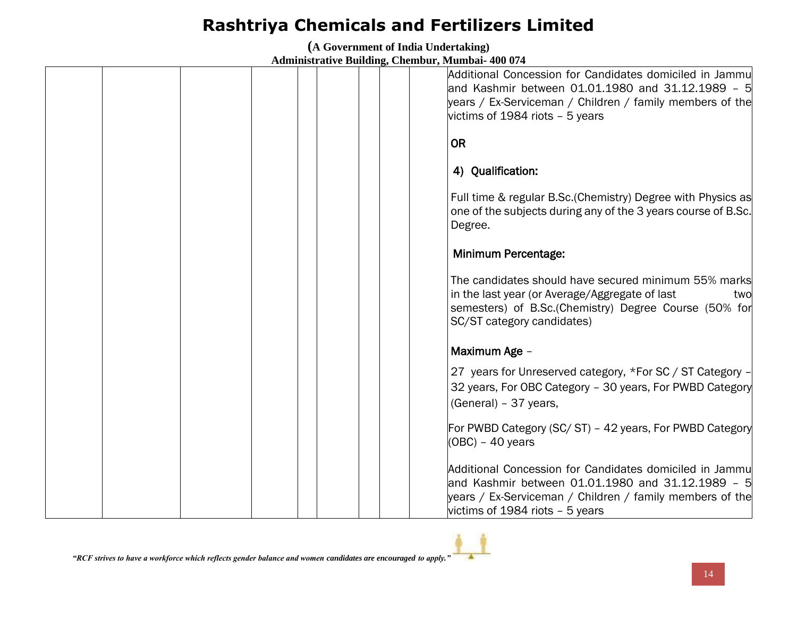**(A Government of India Undertaking)**

| Additional Concession for Candidates domiciled in Jammu<br>and Kashmir between 01.01.1980 and 31.12.1989 - 5<br>years / Ex-Serviceman / Children / family members of the<br>victims of 1984 riots - 5 years |
|-------------------------------------------------------------------------------------------------------------------------------------------------------------------------------------------------------------|
| <b>OR</b>                                                                                                                                                                                                   |
| 4) Qualification:                                                                                                                                                                                           |
| Full time & regular B.Sc. (Chemistry) Degree with Physics as<br>one of the subjects during any of the 3 years course of B.Sc.<br>Degree.                                                                    |
| <b>Minimum Percentage:</b>                                                                                                                                                                                  |
| The candidates should have secured minimum 55% marks<br>in the last year (or Average/Aggregate of last<br>two<br>semesters) of B.Sc. (Chemistry) Degree Course (50% for<br>SC/ST category candidates)       |
| Maximum Age -                                                                                                                                                                                               |
| 27 years for Unreserved category, *For SC / ST Category -<br>32 years, For OBC Category - 30 years, For PWBD Category<br>(General) - 37 years,                                                              |
| For PWBD Category (SC/ST) - 42 years, For PWBD Category<br>$(OBC) - 40$ years                                                                                                                               |
| Additional Concession for Candidates domiciled in Jammu<br>and Kashmir between 01.01.1980 and 31.12.1989 - 5<br>years / Ex-Serviceman / Children / family members of the<br>victims of 1984 riots - 5 years |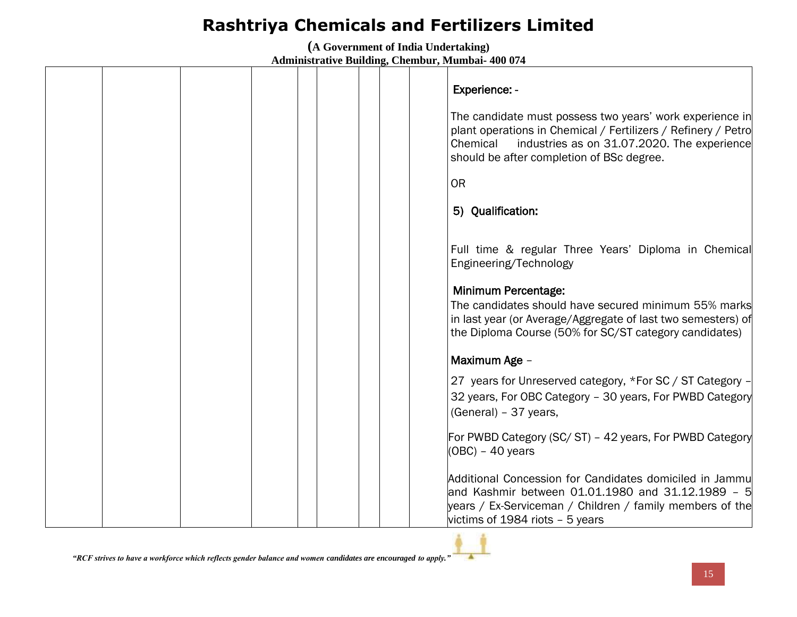**(A Government of India Undertaking) Administrative Building, Chembur, Mumbai- 400 074**

|  |  |  | Experience: -<br>The candidate must possess two years' work experience in<br>plant operations in Chemical / Fertilizers / Refinery / Petro<br>Chemical<br>industries as on 31.07.2020. The experience<br>should be after completion of BSc degree.<br><b>OR</b> |
|--|--|--|-----------------------------------------------------------------------------------------------------------------------------------------------------------------------------------------------------------------------------------------------------------------|
|  |  |  | 5) Qualification:                                                                                                                                                                                                                                               |
|  |  |  | Full time & regular Three Years' Diploma in Chemical<br>Engineering/Technology                                                                                                                                                                                  |
|  |  |  | Minimum Percentage:<br>The candidates should have secured minimum 55% marks<br>in last year (or Average/Aggregate of last two semesters) of<br>the Diploma Course (50% for SC/ST category candidates)                                                           |
|  |  |  | Maximum Age -                                                                                                                                                                                                                                                   |
|  |  |  | 27 years for Unreserved category, *For SC / ST Category -<br>32 years, For OBC Category - 30 years, For PWBD Category<br>(General) - 37 years,                                                                                                                  |
|  |  |  | For PWBD Category (SC/ST) - 42 years, For PWBD Category<br>$(OBC) - 40$ years                                                                                                                                                                                   |
|  |  |  | Additional Concession for Candidates domiciled in Jammu<br>and Kashmir between 01.01.1980 and 31.12.1989 - 5<br>years / Ex-Serviceman / Children / family members of the<br>victims of 1984 riots - 5 years                                                     |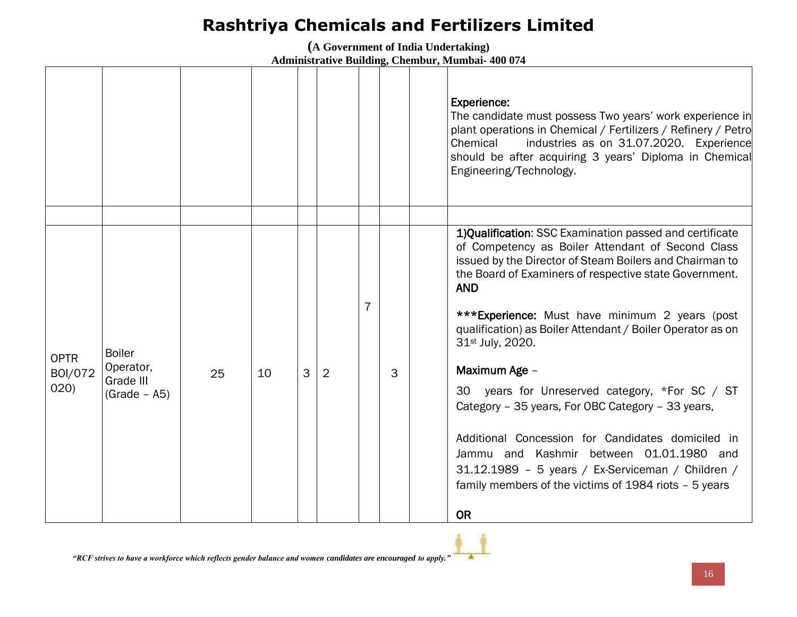**(A Government of India Undertaking)**

|                                |                                                           |    |    |              |                |   |   | <b>Experience:</b><br>The candidate must possess Two years' work experience in<br>plant operations in Chemical / Fertilizers / Refinery / Petro<br>industries as on 31.07.2020. Experience<br>Chemical<br>should be after acquiring 3 years' Diploma in Chemical<br>Engineering/Technology.                                                                                                                                                                                                                                                                                                                                                                                                                                                          |
|--------------------------------|-----------------------------------------------------------|----|----|--------------|----------------|---|---|------------------------------------------------------------------------------------------------------------------------------------------------------------------------------------------------------------------------------------------------------------------------------------------------------------------------------------------------------------------------------------------------------------------------------------------------------------------------------------------------------------------------------------------------------------------------------------------------------------------------------------------------------------------------------------------------------------------------------------------------------|
| <b>OPTR</b><br>B0I/072<br>020) | <b>Boiler</b><br>Operator,<br>Grade III<br>$(Grade - A5)$ | 25 | 10 | $\mathbf{3}$ | $\overline{2}$ | 7 | 3 | 1) Qualification: SSC Examination passed and certificate<br>of Competency as Boiler Attendant of Second Class<br>issued by the Director of Steam Boilers and Chairman to<br>the Board of Examiners of respective state Government.<br><b>AND</b><br>***Experience: Must have minimum 2 years (post<br>qualification) as Boiler Attendant / Boiler Operator as on<br>31 <sup>st</sup> July, 2020.<br>Maximum Age -<br>30 years for Unreserved category, *For SC / ST<br>Category - 35 years, For OBC Category - 33 years,<br>Additional Concession for Candidates domiciled in<br>Jammu and Kashmir between 01.01.1980 and<br>31.12.1989 - 5 years / Ex-Serviceman / Children /<br>family members of the victims of 1984 riots - 5 years<br><b>OR</b> |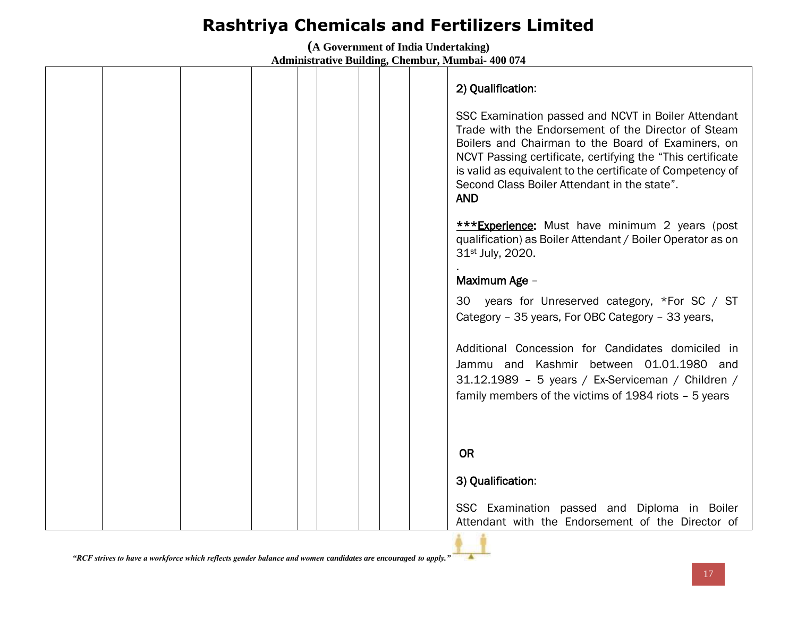**(A Government of India Undertaking) Administrative Building, Chembur, Mumbai- 400 074**

|  |  |  | 2) Qualification:<br>SSC Examination passed and NCVT in Boiler Attendant<br>Trade with the Endorsement of the Director of Steam<br>Boilers and Chairman to the Board of Examiners, on<br>NCVT Passing certificate, certifying the "This certificate"<br>is valid as equivalent to the certificate of Competency of<br>Second Class Boiler Attendant in the state".<br><b>AND</b> |
|--|--|--|----------------------------------------------------------------------------------------------------------------------------------------------------------------------------------------------------------------------------------------------------------------------------------------------------------------------------------------------------------------------------------|
|  |  |  | <b>***Experience:</b> Must have minimum 2 years (post<br>qualification) as Boiler Attendant / Boiler Operator as on<br>31st July, 2020.<br>Maximum Age -                                                                                                                                                                                                                         |
|  |  |  | 30 years for Unreserved category, *For SC / ST<br>Category - 35 years, For OBC Category - 33 years,                                                                                                                                                                                                                                                                              |
|  |  |  | Additional Concession for Candidates domiciled in<br>Jammu and Kashmir between 01.01.1980 and<br>31.12.1989 - 5 years / Ex-Serviceman / Children /<br>family members of the victims of 1984 riots - 5 years                                                                                                                                                                      |
|  |  |  | <b>OR</b>                                                                                                                                                                                                                                                                                                                                                                        |
|  |  |  | 3) Qualification:                                                                                                                                                                                                                                                                                                                                                                |
|  |  |  | SSC Examination passed and Diploma in Boiler<br>Attendant with the Endorsement of the Director of                                                                                                                                                                                                                                                                                |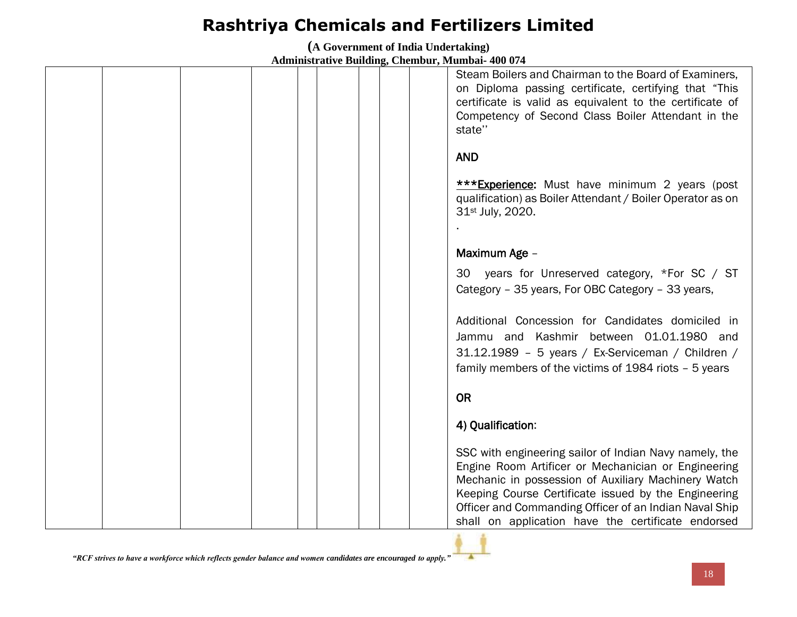**(A Government of India Undertaking)**

|  |  |  | Steam Boilers and Chairman to the Board of Examiners,<br>on Diploma passing certificate, certifying that "This<br>certificate is valid as equivalent to the certificate of<br>Competency of Second Class Boiler Attendant in the<br>state"                                                                                                   |
|--|--|--|----------------------------------------------------------------------------------------------------------------------------------------------------------------------------------------------------------------------------------------------------------------------------------------------------------------------------------------------|
|  |  |  | <b>AND</b>                                                                                                                                                                                                                                                                                                                                   |
|  |  |  | <b>***Experience:</b> Must have minimum 2 years (post<br>qualification) as Boiler Attendant / Boiler Operator as on<br>31 <sup>st</sup> July, 2020.                                                                                                                                                                                          |
|  |  |  |                                                                                                                                                                                                                                                                                                                                              |
|  |  |  | Maximum Age -                                                                                                                                                                                                                                                                                                                                |
|  |  |  | years for Unreserved category, *For SC / ST<br>30<br>Category - 35 years, For OBC Category - 33 years,                                                                                                                                                                                                                                       |
|  |  |  | Additional Concession for Candidates domiciled in<br>Jammu and Kashmir between 01.01.1980 and<br>31.12.1989 - 5 years / Ex-Serviceman / Children /<br>family members of the victims of 1984 riots - 5 years                                                                                                                                  |
|  |  |  | <b>OR</b>                                                                                                                                                                                                                                                                                                                                    |
|  |  |  | 4) Qualification:                                                                                                                                                                                                                                                                                                                            |
|  |  |  | SSC with engineering sailor of Indian Navy namely, the<br>Engine Room Artificer or Mechanician or Engineering<br>Mechanic in possession of Auxiliary Machinery Watch<br>Keeping Course Certificate issued by the Engineering<br>Officer and Commanding Officer of an Indian Naval Ship<br>shall on application have the certificate endorsed |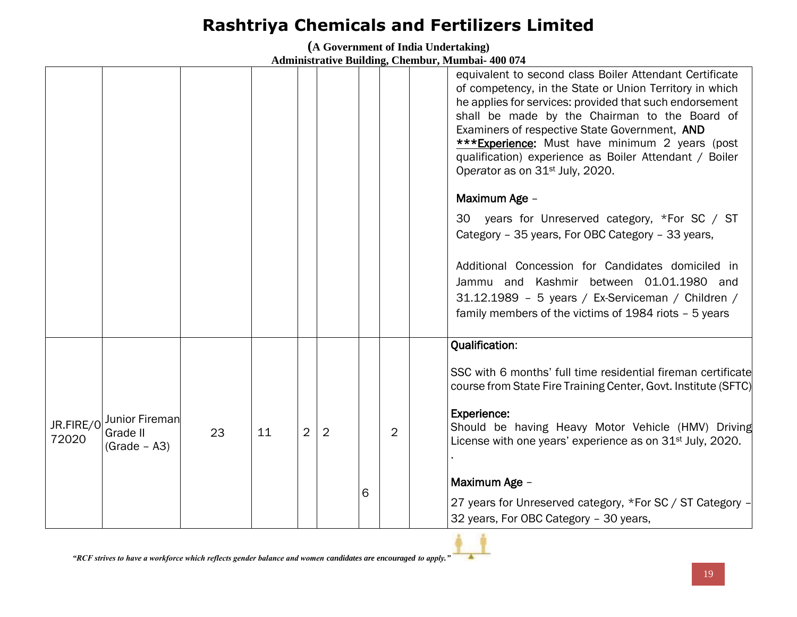**(A Government of India Undertaking) Administrative Building, Chembur, Mumbai- 400 074**

|                    |                                              |    |    |   |   |   |                | equivalent to second class Boiler Attendant Certificate<br>of competency, in the State or Union Territory in which<br>he applies for services: provided that such endorsement<br>shall be made by the Chairman to the Board of<br>Examiners of respective State Government, AND<br>***Experience: Must have minimum 2 years (post<br>qualification) experience as Boiler Attendant / Boiler<br>Operator as on 31 <sup>st</sup> July, 2020.<br>Maximum Age -<br>30 years for Unreserved category, *For SC / ST<br>Category - 35 years, For OBC Category - 33 years,<br>Additional Concession for Candidates domiciled in<br>Jammu and Kashmir between 01.01.1980 and<br>31.12.1989 - 5 years / Ex-Serviceman / Children /<br>family members of the victims of 1984 riots - 5 years |
|--------------------|----------------------------------------------|----|----|---|---|---|----------------|-----------------------------------------------------------------------------------------------------------------------------------------------------------------------------------------------------------------------------------------------------------------------------------------------------------------------------------------------------------------------------------------------------------------------------------------------------------------------------------------------------------------------------------------------------------------------------------------------------------------------------------------------------------------------------------------------------------------------------------------------------------------------------------|
| JR.FIRE/0<br>72020 | Junior Fireman<br>Grade II<br>$(Grade - A3)$ | 23 | 11 | 2 | 2 | 6 | $\overline{2}$ | <b>Qualification:</b><br>SSC with 6 months' full time residential fireman certificate<br>course from State Fire Training Center, Govt. Institute (SFTC)<br><b>Experience:</b><br>Should be having Heavy Motor Vehicle (HMV) Driving<br>License with one years' experience as on 31 <sup>st</sup> July, 2020.<br>Maximum Age -<br>27 years for Unreserved category, *For SC / ST Category -<br>32 years, For OBC Category - 30 years,                                                                                                                                                                                                                                                                                                                                              |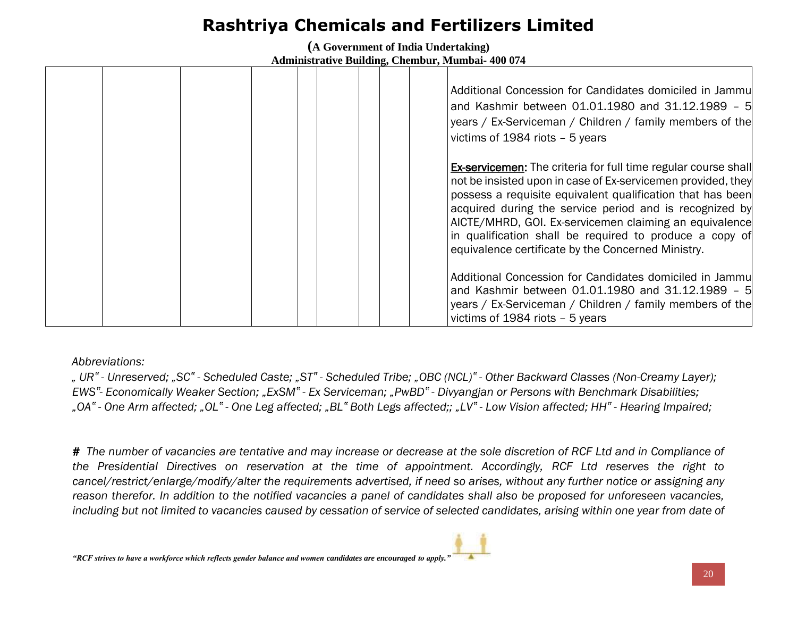**(A Government of India Undertaking) Administrative Building, Chembur, Mumbai- 400 074**

|  |  |  |  | Additional Concession for Candidates domiciled in Jammul<br>and Kashmir between 01.01.1980 and 31.12.1989 - 5<br>years / Ex-Serviceman / Children / family members of the<br>victims of 1984 riots - 5 years                                                                                                                                                                                                                              |
|--|--|--|--|-------------------------------------------------------------------------------------------------------------------------------------------------------------------------------------------------------------------------------------------------------------------------------------------------------------------------------------------------------------------------------------------------------------------------------------------|
|  |  |  |  | <b>Ex-servicemen:</b> The criteria for full time regular course shall<br>not be insisted upon in case of Ex-servicemen provided, they<br>possess a requisite equivalent qualification that has been<br>acquired during the service period and is recognized by<br>AICTE/MHRD, GOI. Ex-servicemen claiming an equivalence<br>in qualification shall be required to produce a copy of<br>equivalence certificate by the Concerned Ministry. |
|  |  |  |  | Additional Concession for Candidates domiciled in Jammu<br>and Kashmir between 01.01.1980 and 31.12.1989 - 5<br>years / Ex-Serviceman / Children / family members of the<br>victims of 1984 riots - 5 years                                                                                                                                                                                                                               |

#### *Abbreviations:*

. UR" - Unreserved: "SC" - Scheduled Caste; "ST" - Scheduled Tribe; "OBC (NCL)" - Other Backward Classes (Non-Creamy Layer); *EWS"- Economically Weaker Section; "ExSM" - Ex Serviceman; "PwBD" - Divyangjan or Persons with Benchmark Disabilities;*  "OA" - One Arm affected; "OL" - One Leg affected; "BL" Both Legs affected;; "LV" - Low Vision affected; HH" - Hearing Impaired;

*# The number of vacancies are tentative and may increase or decrease at the sole discretion of RCF Ltd and in Compliance of the Presidential Directives on reservation at the time of appointment. Accordingly, RCF Ltd reserves the right to cancel/restrict/enlarge/modify/alter the requirements advertised, if need so arises, without any further notice or assigning any reason therefor. In addition to the notified vacancies a panel of candidates shall also be proposed for unforeseen vacancies,* including but not limited to vacancies caused by cessation of service of selected candidates, arising within one year from date of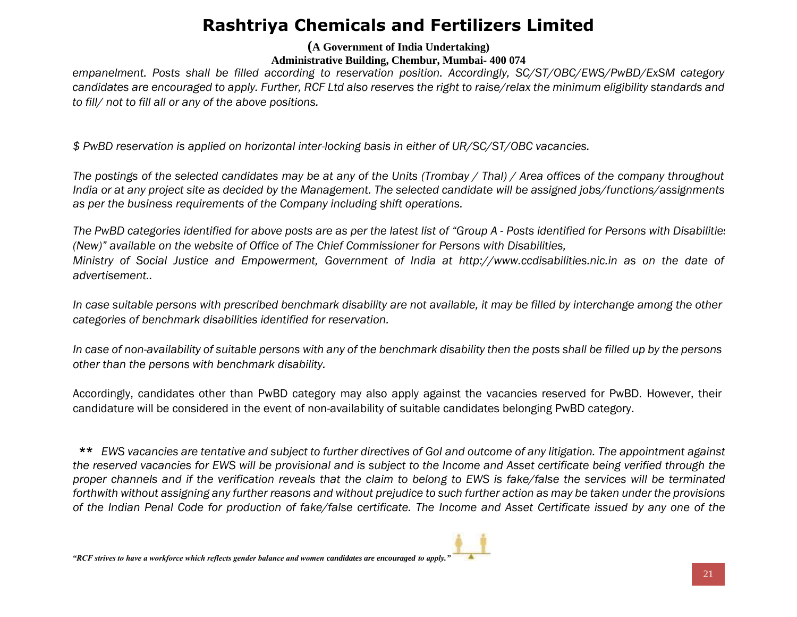**(A Government of India Undertaking)**

**Administrative Building, Chembur, Mumbai- 400 074**

*empanelment. Posts shall be filled according to reservation position. Accordingly, SC/ST/OBC/EWS/PwBD/ExSM category candidates are encouraged to apply. Further, RCF Ltd also reserves the right to raise/relax the minimum eligibility standards and to fill/ not to fill all or any of the above positions.*

*\$ PwBD reservation is applied on horizontal inter-locking basis in either of UR/SC/ST/OBC vacancies.* 

*The postings of the selected candidates may be at any of the Units (Trombay / Thal) / Area offices of the company throughout India or at any project site as decided by the Management. The selected candidate will be assigned jobs/functions/assignments as per the business requirements of the Company including shift operations.* 

*The PwBD categories identified for above posts are as per the latest list of "Group A - Posts identified for Persons with Disabilities (New)" available on the website of Office of The Chief Commissioner for Persons with Disabilities, Ministry of Social Justice and Empowerment, Government of India at http://www.ccdisabilities.nic.in as on the date of advertisement..*

*In case suitable persons with prescribed benchmark disability are not available, it may be filled by interchange among the other categories of benchmark disabilities identified for reservation.* 

*In case of non-availability of suitable persons with any of the benchmark disability then the posts shall be filled up by the persons other than the persons with benchmark disability.* 

Accordingly, candidates other than PwBD category may also apply against the vacancies reserved for PwBD. However, their candidature will be considered in the event of non-availability of suitable candidates belonging PwBD category.

\*\* *EWS vacancies are tentative and subject to further directives of GoI and outcome of any litigation. The appointment against the reserved vacancies for EWS will be provisional and is subject to the Income and Asset certificate being verified through the proper channels and if the verification reveals that the claim to belong to EWS is fake/false the services will be terminated forthwith without assigning any further reasons and without prejudice to such further action as may be taken under the provisions of the Indian Penal Code for production of fake/false certificate. The Income and Asset Certificate issued by any one of the*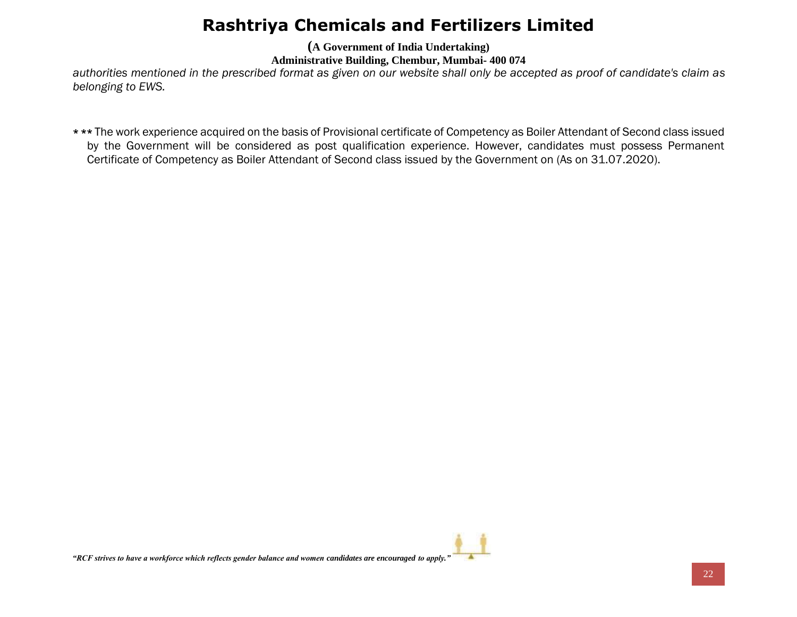**(A Government of India Undertaking)**

**Administrative Building, Chembur, Mumbai- 400 074**

*authorities mentioned in the prescribed format as given on our website shall only be accepted as proof of candidate's claim as belonging to EWS.* 

\*\*\* The work experience acquired on the basis of Provisional certificate of Competency as Boiler Attendant of Second class issued by the Government will be considered as post qualification experience. However, candidates must possess Permanent Certificate of Competency as Boiler Attendant of Second class issued by the Government on (As on 31.07.2020).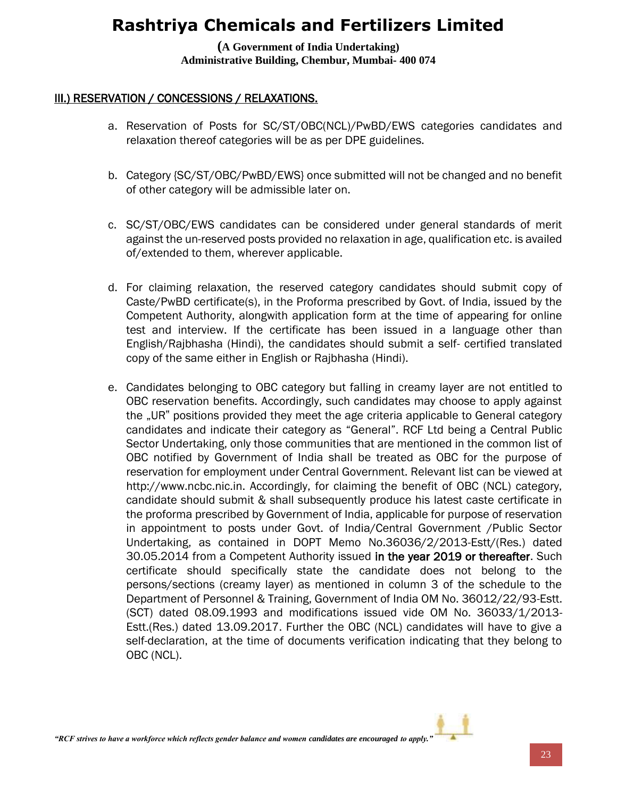**(A Government of India Undertaking) Administrative Building, Chembur, Mumbai- 400 074**

#### III.) RESERVATION / CONCESSIONS / RELAXATIONS.

- a. Reservation of Posts for SC/ST/OBC(NCL)/PwBD/EWS categories candidates and relaxation thereof categories will be as per DPE guidelines.
- b. Category {SC/ST/OBC/PwBD/EWS} once submitted will not be changed and no benefit of other category will be admissible later on.
- c. SC/ST/OBC/EWS candidates can be considered under general standards of merit against the un-reserved posts provided no relaxation in age, qualification etc. is availed of/extended to them, wherever applicable.
- d. For claiming relaxation, the reserved category candidates should submit copy of Caste/PwBD certificate(s), in the Proforma prescribed by Govt. of India, issued by the Competent Authority, alongwith application form at the time of appearing for online test and interview. If the certificate has been issued in a language other than English/Rajbhasha (Hindi), the candidates should submit a self- certified translated copy of the same either in English or Rajbhasha (Hindi).
- e. Candidates belonging to OBC category but falling in creamy layer are not entitled to OBC reservation benefits. Accordingly, such candidates may choose to apply against the "UR" positions provided they meet the age criteria applicable to General category candidates and indicate their category as "General". RCF Ltd being a Central Public Sector Undertaking, only those communities that are mentioned in the common list of OBC notified by Government of India shall be treated as OBC for the purpose of reservation for employment under Central Government. Relevant list can be viewed at http://www.ncbc.nic.in. Accordingly, for claiming the benefit of OBC (NCL) category, candidate should submit & shall subsequently produce his latest caste certificate in the proforma prescribed by Government of India, applicable for purpose of reservation in appointment to posts under Govt. of India/Central Government /Public Sector Undertaking, as contained in DOPT Memo No.36036/2/2013-Estt/(Res.) dated 30.05.2014 from a Competent Authority issued in the year 2019 or thereafter. Such certificate should specifically state the candidate does not belong to the persons/sections (creamy layer) as mentioned in column 3 of the schedule to the Department of Personnel & Training, Government of India OM No. 36012/22/93-Estt. (SCT) dated 08.09.1993 and modifications issued vide OM No. 36033/1/2013- Estt.(Res.) dated 13.09.2017. Further the OBC (NCL) candidates will have to give a self-declaration, at the time of documents verification indicating that they belong to OBC (NCL).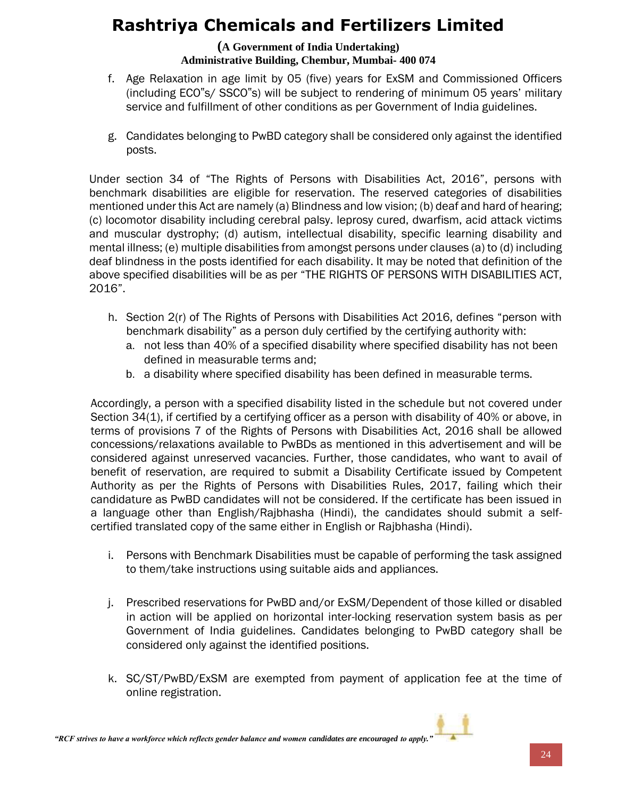#### **(A Government of India Undertaking) Administrative Building, Chembur, Mumbai- 400 074**

- f. Age Relaxation in age limit by 05 (five) years for ExSM and Commissioned Officers (including ECO"s/ SSCO"s) will be subject to rendering of minimum 05 years' military service and fulfillment of other conditions as per Government of India guidelines.
- g. Candidates belonging to PwBD category shall be considered only against the identified posts.

Under section 34 of "The Rights of Persons with Disabilities Act, 2016", persons with benchmark disabilities are eligible for reservation. The reserved categories of disabilities mentioned under this Act are namely (a) Blindness and low vision; (b) deaf and hard of hearing; (c) locomotor disability including cerebral palsy. leprosy cured, dwarfism, acid attack victims and muscular dystrophy; (d) autism, intellectual disability, specific learning disability and mental illness; (e) multiple disabilities from amongst persons under clauses (a) to (d) including deaf blindness in the posts identified for each disability. It may be noted that definition of the above specified disabilities will be as per "THE RIGHTS OF PERSONS WITH DISABILITIES ACT, 2016".

- h. Section 2(r) of The Rights of Persons with Disabilities Act 2016, defines "person with benchmark disability" as a person duly certified by the certifying authority with:
	- a. not less than 40% of a specified disability where specified disability has not been defined in measurable terms and;
	- b. a disability where specified disability has been defined in measurable terms.

Accordingly, a person with a specified disability listed in the schedule but not covered under Section 34(1), if certified by a certifying officer as a person with disability of 40% or above, in terms of provisions 7 of the Rights of Persons with Disabilities Act, 2016 shall be allowed concessions/relaxations available to PwBDs as mentioned in this advertisement and will be considered against unreserved vacancies. Further, those candidates, who want to avail of benefit of reservation, are required to submit a Disability Certificate issued by Competent Authority as per the Rights of Persons with Disabilities Rules, 2017, failing which their candidature as PwBD candidates will not be considered. If the certificate has been issued in a language other than English/Rajbhasha (Hindi), the candidates should submit a selfcertified translated copy of the same either in English or Rajbhasha (Hindi).

- i. Persons with Benchmark Disabilities must be capable of performing the task assigned to them/take instructions using suitable aids and appliances.
- j. Prescribed reservations for PwBD and/or ExSM/Dependent of those killed or disabled in action will be applied on horizontal inter-locking reservation system basis as per Government of India guidelines. Candidates belonging to PwBD category shall be considered only against the identified positions.
- k. SC/ST/PwBD/ExSM are exempted from payment of application fee at the time of online registration.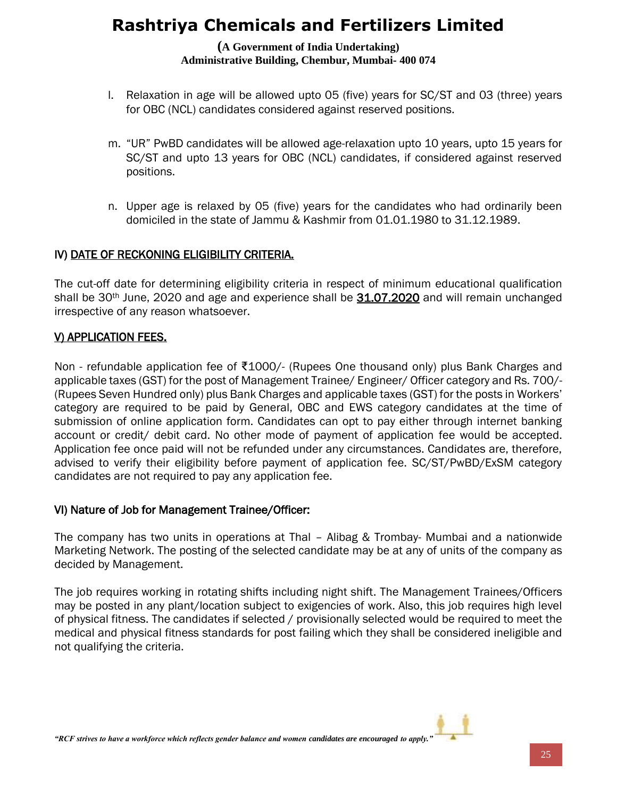#### **(A Government of India Undertaking) Administrative Building, Chembur, Mumbai- 400 074**

- l. Relaxation in age will be allowed upto 05 (five) years for SC/ST and 03 (three) years for OBC (NCL) candidates considered against reserved positions.
- m. "UR" PwBD candidates will be allowed age-relaxation upto 10 years, upto 15 years for SC/ST and upto 13 years for OBC (NCL) candidates, if considered against reserved positions.
- n. Upper age is relaxed by 05 (five) years for the candidates who had ordinarily been domiciled in the state of Jammu & Kashmir from 01.01.1980 to 31.12.1989.

#### IV) DATE OF RECKONING ELIGIBILITY CRITERIA.

The cut-off date for determining eligibility criteria in respect of minimum educational qualification shall be 30<sup>th</sup> June, 2020 and age and experience shall be 31.07.2020 and will remain unchanged irrespective of any reason whatsoever.

#### V) APPLICATION FEES.

Non - refundable application fee of ₹1000/- (Rupees One thousand only) plus Bank Charges and applicable taxes (GST) for the post of Management Trainee/ Engineer/ Officer category and Rs. 700/- (Rupees Seven Hundred only) plus Bank Charges and applicable taxes (GST) for the posts in Workers' category are required to be paid by General, OBC and EWS category candidates at the time of submission of online application form. Candidates can opt to pay either through internet banking account or credit/ debit card. No other mode of payment of application fee would be accepted. Application fee once paid will not be refunded under any circumstances. Candidates are, therefore, advised to verify their eligibility before payment of application fee. SC/ST/PwBD/ExSM category candidates are not required to pay any application fee.

#### VI) Nature of Job for Management Trainee/Officer:

The company has two units in operations at Thal – Alibag & Trombay- Mumbai and a nationwide Marketing Network. The posting of the selected candidate may be at any of units of the company as decided by Management.

The job requires working in rotating shifts including night shift. The Management Trainees/Officers may be posted in any plant/location subject to exigencies of work. Also, this job requires high level of physical fitness. The candidates if selected / provisionally selected would be required to meet the medical and physical fitness standards for post failing which they shall be considered ineligible and not qualifying the criteria.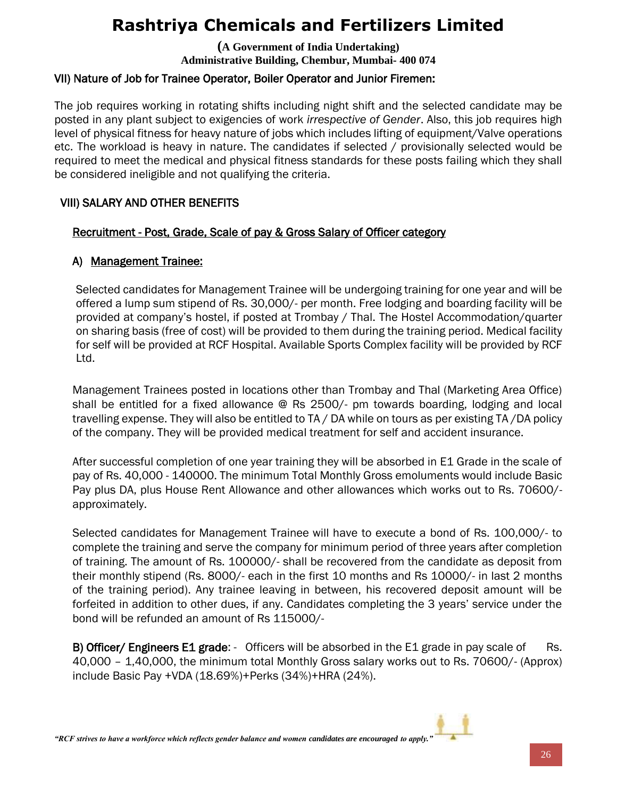**(A Government of India Undertaking) Administrative Building, Chembur, Mumbai- 400 074**

### VII) Nature of Job for Trainee Operator, Boiler Operator and Junior Firemen:

The job requires working in rotating shifts including night shift and the selected candidate may be posted in any plant subject to exigencies of work *irrespective of Gender*. Also, this job requires high level of physical fitness for heavy nature of jobs which includes lifting of equipment/Valve operations etc. The workload is heavy in nature. The candidates if selected / provisionally selected would be required to meet the medical and physical fitness standards for these posts failing which they shall be considered ineligible and not qualifying the criteria.

#### VIII) SALARY AND OTHER BENEFITS

#### Recruitment - Post, Grade, Scale of pay & Gross Salary of Officer category

### A) Management Trainee:

Selected candidates for Management Trainee will be undergoing training for one year and will be offered a lump sum stipend of Rs. 30,000/- per month. Free lodging and boarding facility will be provided at company's hostel, if posted at Trombay / Thal. The Hostel Accommodation/quarter on sharing basis (free of cost) will be provided to them during the training period. Medical facility for self will be provided at RCF Hospital. Available Sports Complex facility will be provided by RCF Ltd.

Management Trainees posted in locations other than Trombay and Thal (Marketing Area Office) shall be entitled for a fixed allowance @ Rs 2500/- pm towards boarding, lodging and local travelling expense. They will also be entitled to TA / DA while on tours as per existing TA /DA policy of the company. They will be provided medical treatment for self and accident insurance.

After successful completion of one year training they will be absorbed in E1 Grade in the scale of pay of Rs. 40,000 - 140000. The minimum Total Monthly Gross emoluments would include Basic Pay plus DA, plus House Rent Allowance and other allowances which works out to Rs. 70600/ approximately.

Selected candidates for Management Trainee will have to execute a bond of Rs. 100,000/- to complete the training and serve the company for minimum period of three years after completion of training. The amount of Rs. 100000/- shall be recovered from the candidate as deposit from their monthly stipend (Rs. 8000/- each in the first 10 months and Rs 10000/- in last 2 months of the training period). Any trainee leaving in between, his recovered deposit amount will be forfeited in addition to other dues, if any. Candidates completing the 3 years' service under the bond will be refunded an amount of Rs 115000/-

B) Officer/ Engineers E1 grade: - Officers will be absorbed in the E1 grade in pay scale of Rs. 40,000 – 1,40,000, the minimum total Monthly Gross salary works out to Rs. 70600/- (Approx) include Basic Pay +VDA (18.69%)+Perks (34%)+HRA (24%).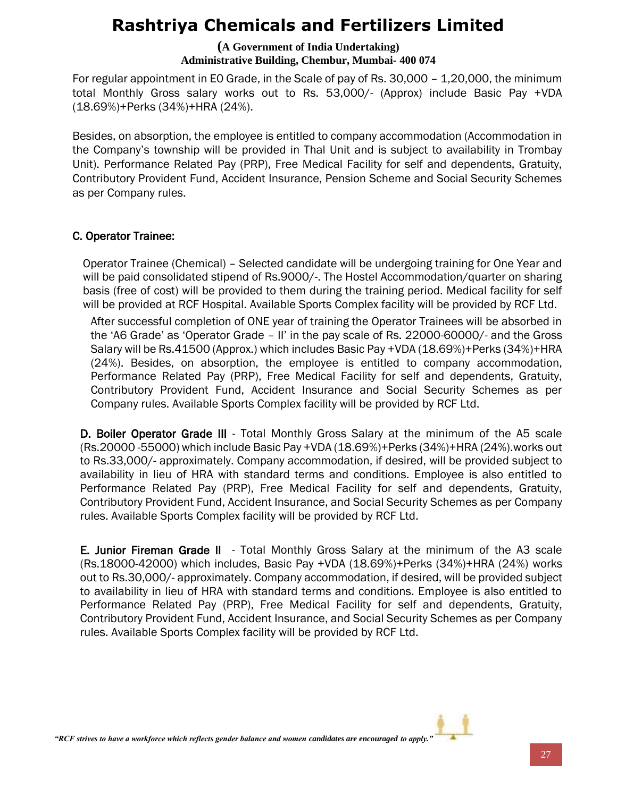**(A Government of India Undertaking) Administrative Building, Chembur, Mumbai- 400 074**

For regular appointment in E0 Grade, in the Scale of pay of Rs. 30,000 – 1,20,000, the minimum total Monthly Gross salary works out to Rs. 53,000/- (Approx) include Basic Pay +VDA (18.69%)+Perks (34%)+HRA (24%).

Besides, on absorption, the employee is entitled to company accommodation (Accommodation in the Company's township will be provided in Thal Unit and is subject to availability in Trombay Unit). Performance Related Pay (PRP), Free Medical Facility for self and dependents, Gratuity, Contributory Provident Fund, Accident Insurance, Pension Scheme and Social Security Schemes as per Company rules.

#### C. Operator Trainee:

Operator Trainee (Chemical) – Selected candidate will be undergoing training for One Year and will be paid consolidated stipend of Rs.9000/-. The Hostel Accommodation/quarter on sharing basis (free of cost) will be provided to them during the training period. Medical facility for self will be provided at RCF Hospital. Available Sports Complex facility will be provided by RCF Ltd.

After successful completion of ONE year of training the Operator Trainees will be absorbed in the 'A6 Grade' as 'Operator Grade – II' in the pay scale of Rs. 22000-60000/- and the Gross Salary will be Rs.41500 (Approx.) which includes Basic Pay +VDA (18.69%)+Perks (34%)+HRA (24%). Besides, on absorption, the employee is entitled to company accommodation, Performance Related Pay (PRP), Free Medical Facility for self and dependents, Gratuity, Contributory Provident Fund, Accident Insurance and Social Security Schemes as per Company rules. Available Sports Complex facility will be provided by RCF Ltd.

D. Boiler Operator Grade III - Total Monthly Gross Salary at the minimum of the A5 scale (Rs.20000 -55000) which include Basic Pay +VDA (18.69%)+Perks (34%)+HRA (24%).works out to Rs.33,000/- approximately. Company accommodation, if desired, will be provided subject to availability in lieu of HRA with standard terms and conditions. Employee is also entitled to Performance Related Pay (PRP), Free Medical Facility for self and dependents, Gratuity, Contributory Provident Fund, Accident Insurance, and Social Security Schemes as per Company rules. Available Sports Complex facility will be provided by RCF Ltd.

**E. Junior Fireman Grade II** - Total Monthly Gross Salary at the minimum of the A3 scale (Rs.18000-42000) which includes, Basic Pay +VDA (18.69%)+Perks (34%)+HRA (24%) works out to Rs.30,000/- approximately. Company accommodation, if desired, will be provided subject to availability in lieu of HRA with standard terms and conditions. Employee is also entitled to Performance Related Pay (PRP), Free Medical Facility for self and dependents, Gratuity, Contributory Provident Fund, Accident Insurance, and Social Security Schemes as per Company rules. Available Sports Complex facility will be provided by RCF Ltd.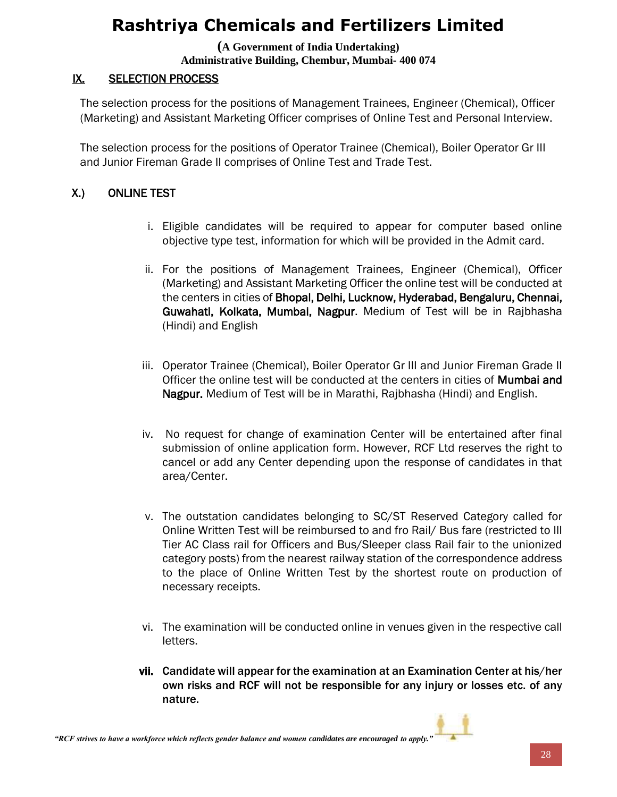**(A Government of India Undertaking) Administrative Building, Chembur, Mumbai- 400 074**

### IX. SELECTION PROCESS

The selection process for the positions of Management Trainees, Engineer (Chemical), Officer (Marketing) and Assistant Marketing Officer comprises of Online Test and Personal Interview.

The selection process for the positions of Operator Trainee (Chemical), Boiler Operator Gr III and Junior Fireman Grade II comprises of Online Test and Trade Test.

### X.) ONLINE TEST

- i. Eligible candidates will be required to appear for computer based online objective type test, information for which will be provided in the Admit card.
- ii. For the positions of Management Trainees, Engineer (Chemical), Officer (Marketing) and Assistant Marketing Officer the online test will be conducted at the centers in cities of Bhopal, Delhi, Lucknow, Hyderabad, Bengaluru, Chennai, Guwahati, Kolkata, Mumbai, Nagpur. Medium of Test will be in Rajbhasha (Hindi) and English
- iii. Operator Trainee (Chemical), Boiler Operator Gr III and Junior Fireman Grade II Officer the online test will be conducted at the centers in cities of Mumbai and Nagpur. Medium of Test will be in Marathi, Rajbhasha (Hindi) and English.
- iv. No request for change of examination Center will be entertained after final submission of online application form. However, RCF Ltd reserves the right to cancel or add any Center depending upon the response of candidates in that area/Center.
- v. The outstation candidates belonging to SC/ST Reserved Category called for Online Written Test will be reimbursed to and fro Rail/ Bus fare (restricted to III Tier AC Class rail for Officers and Bus/Sleeper class Rail fair to the unionized category posts) from the nearest railway station of the correspondence address to the place of Online Written Test by the shortest route on production of necessary receipts.
- vi. The examination will be conducted online in venues given in the respective call letters.
- vii. Candidate will appear for the examination at an Examination Center at his/her own risks and RCF will not be responsible for any injury or losses etc. of any nature.

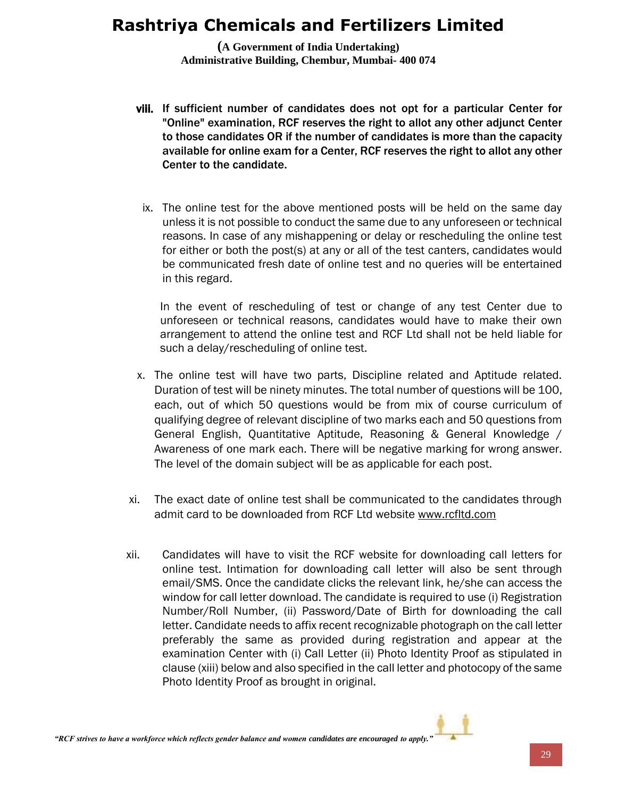**(A Government of India Undertaking) Administrative Building, Chembur, Mumbai- 400 074**

- viii. If sufficient number of candidates does not opt for a particular Center for "Online" examination, RCF reserves the right to allot any other adjunct Center to those candidates OR if the number of candidates is more than the capacity available for online exam for a Center, RCF reserves the right to allot any other Center to the candidate.
	- ix. The online test for the above mentioned posts will be held on the same day unless it is not possible to conduct the same due to any unforeseen or technical reasons. In case of any mishappening or delay or rescheduling the online test for either or both the post(s) at any or all of the test canters, candidates would be communicated fresh date of online test and no queries will be entertained in this regard.

In the event of rescheduling of test or change of any test Center due to unforeseen or technical reasons, candidates would have to make their own arrangement to attend the online test and RCF Ltd shall not be held liable for such a delay/rescheduling of online test.

- x. The online test will have two parts, Discipline related and Aptitude related. Duration of test will be ninety minutes. The total number of questions will be 100, each, out of which 50 questions would be from mix of course curriculum of qualifying degree of relevant discipline of two marks each and 50 questions from General English, Quantitative Aptitude, Reasoning & General Knowledge / Awareness of one mark each. There will be negative marking for wrong answer. The level of the domain subject will be as applicable for each post.
- xi. The exact date of online test shall be communicated to the candidates through admit card to be downloaded from RCF Ltd website [www.rcfltd.com](http://www.rcfltd.com/)
- xii. Candidates will have to visit the RCF website for downloading call letters for online test. Intimation for downloading call letter will also be sent through email/SMS. Once the candidate clicks the relevant link, he/she can access the window for call letter download. The candidate is required to use (i) Registration Number/Roll Number, (ii) Password/Date of Birth for downloading the call letter. Candidate needs to affix recent recognizable photograph on the call letter preferably the same as provided during registration and appear at the examination Center with (i) Call Letter (ii) Photo Identity Proof as stipulated in clause (xiii) below and also specified in the call letter and photocopy of the same Photo Identity Proof as brought in original.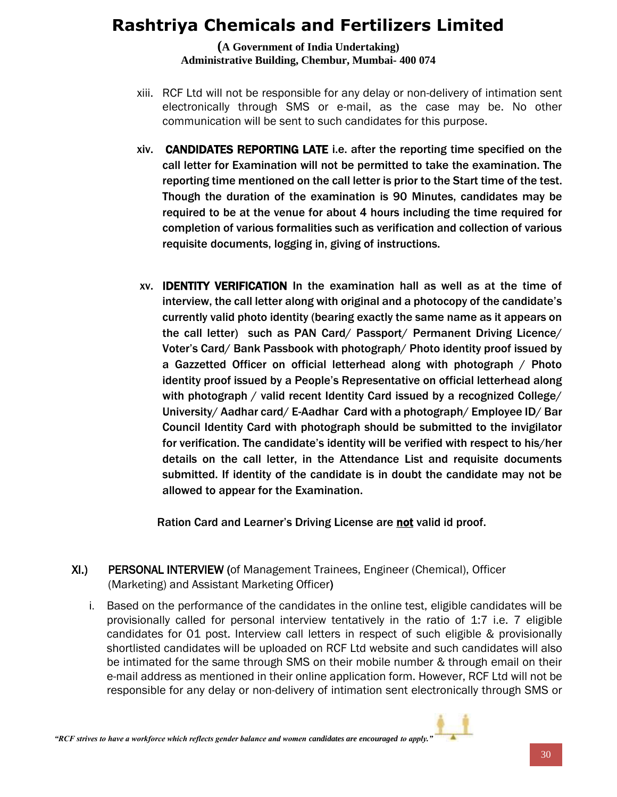**(A Government of India Undertaking) Administrative Building, Chembur, Mumbai- 400 074**

- xiii. RCF Ltd will not be responsible for any delay or non-delivery of intimation sent electronically through SMS or e-mail, as the case may be. No other communication will be sent to such candidates for this purpose.
- xiv. CANDIDATES REPORTING LATE i.e. after the reporting time specified on the call letter for Examination will not be permitted to take the examination. The reporting time mentioned on the call letter is prior to the Start time of the test. Though the duration of the examination is 90 Minutes, candidates may be required to be at the venue for about 4 hours including the time required for completion of various formalities such as verification and collection of various requisite documents, logging in, giving of instructions.
- xv. IDENTITY VERIFICATION In the examination hall as well as at the time of interview, the call letter along with original and a photocopy of the candidate's currently valid photo identity (bearing exactly the same name as it appears on the call letter) such as PAN Card/ Passport/ Permanent Driving Licence/ Voter's Card/ Bank Passbook with photograph/ Photo identity proof issued by a Gazzetted Officer on official letterhead along with photograph / Photo identity proof issued by a People's Representative on official letterhead along with photograph / valid recent Identity Card issued by a recognized College/ University/ Aadhar card/ E-Aadhar Card with a photograph/ Employee ID/ Bar Council Identity Card with photograph should be submitted to the invigilator for verification. The candidate's identity will be verified with respect to his/her details on the call letter, in the Attendance List and requisite documents submitted. If identity of the candidate is in doubt the candidate may not be allowed to appear for the Examination.

Ration Card and Learner's Driving License are not valid id proof.

- XI.) PERSONAL INTERVIEW (of Management Trainees, Engineer (Chemical), Officer (Marketing) and Assistant Marketing Officer)
	- i. Based on the performance of the candidates in the online test, eligible candidates will be provisionally called for personal interview tentatively in the ratio of 1:7 i.e. 7 eligible candidates for 01 post. Interview call letters in respect of such eligible & provisionally shortlisted candidates will be uploaded on RCF Ltd website and such candidates will also be intimated for the same through SMS on their mobile number & through email on their e-mail address as mentioned in their online application form. However, RCF Ltd will not be responsible for any delay or non-delivery of intimation sent electronically through SMS or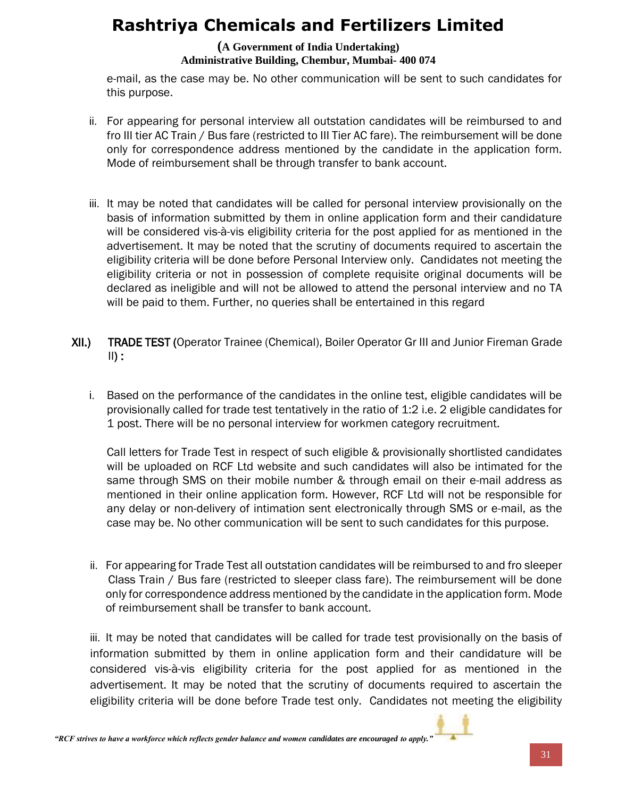#### **(A Government of India Undertaking) Administrative Building, Chembur, Mumbai- 400 074**

e-mail, as the case may be. No other communication will be sent to such candidates for this purpose.

- ii. For appearing for personal interview all outstation candidates will be reimbursed to and fro III tier AC Train / Bus fare (restricted to III Tier AC fare). The reimbursement will be done only for correspondence address mentioned by the candidate in the application form. Mode of reimbursement shall be through transfer to bank account.
- iii. It may be noted that candidates will be called for personal interview provisionally on the basis of information submitted by them in online application form and their candidature will be considered vis-à-vis eligibility criteria for the post applied for as mentioned in the advertisement. It may be noted that the scrutiny of documents required to ascertain the eligibility criteria will be done before Personal Interview only. Candidates not meeting the eligibility criteria or not in possession of complete requisite original documents will be declared as ineligible and will not be allowed to attend the personal interview and no TA will be paid to them. Further, no queries shall be entertained in this regard
- XII.) TRADE TEST (Operator Trainee (Chemical), Boiler Operator Gr III and Junior Fireman Grade  $\mathsf{II}$ ) :
	- i. Based on the performance of the candidates in the online test, eligible candidates will be provisionally called for trade test tentatively in the ratio of 1:2 i.e. 2 eligible candidates for 1 post. There will be no personal interview for workmen category recruitment.

Call letters for Trade Test in respect of such eligible & provisionally shortlisted candidates will be uploaded on RCF Ltd website and such candidates will also be intimated for the same through SMS on their mobile number & through email on their e-mail address as mentioned in their online application form. However, RCF Ltd will not be responsible for any delay or non-delivery of intimation sent electronically through SMS or e-mail, as the case may be. No other communication will be sent to such candidates for this purpose.

ii. For appearing for Trade Test all outstation candidates will be reimbursed to and fro sleeper Class Train / Bus fare (restricted to sleeper class fare). The reimbursement will be done only for correspondence address mentioned by the candidate in the application form. Mode of reimbursement shall be transfer to bank account.

iii. It may be noted that candidates will be called for trade test provisionally on the basis of information submitted by them in online application form and their candidature will be considered vis-à-vis eligibility criteria for the post applied for as mentioned in the advertisement. It may be noted that the scrutiny of documents required to ascertain the eligibility criteria will be done before Trade test only. Candidates not meeting the eligibility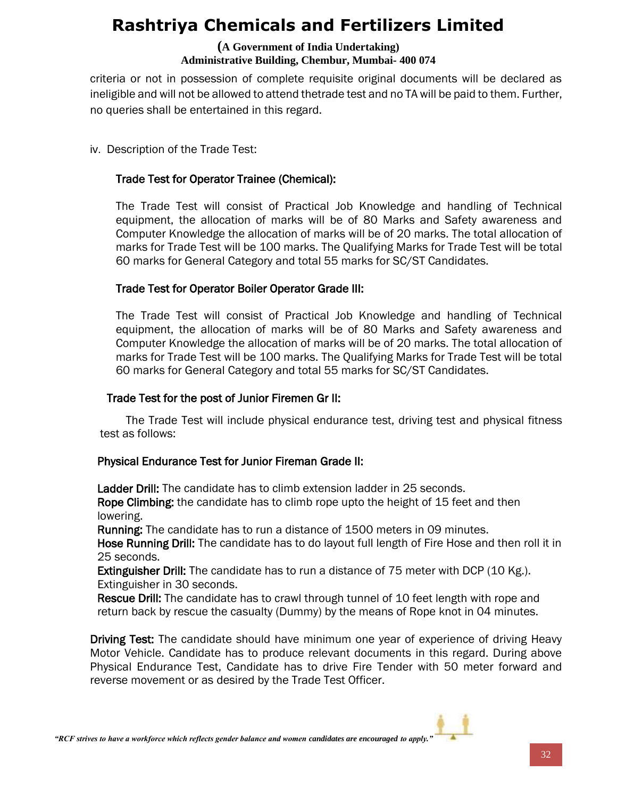#### **(A Government of India Undertaking) Administrative Building, Chembur, Mumbai- 400 074**

criteria or not in possession of complete requisite original documents will be declared as ineligible and will not be allowed to attend thetrade test and no TA will be paid to them. Further, no queries shall be entertained in this regard.

iv. Description of the Trade Test:

### Trade Test for Operator Trainee (Chemical):

The Trade Test will consist of Practical Job Knowledge and handling of Technical equipment, the allocation of marks will be of 80 Marks and Safety awareness and Computer Knowledge the allocation of marks will be of 20 marks. The total allocation of marks for Trade Test will be 100 marks. The Qualifying Marks for Trade Test will be total 60 marks for General Category and total 55 marks for SC/ST Candidates.

#### Trade Test for Operator Boiler Operator Grade III:

The Trade Test will consist of Practical Job Knowledge and handling of Technical equipment, the allocation of marks will be of 80 Marks and Safety awareness and Computer Knowledge the allocation of marks will be of 20 marks. The total allocation of marks for Trade Test will be 100 marks. The Qualifying Marks for Trade Test will be total 60 marks for General Category and total 55 marks for SC/ST Candidates.

#### Trade Test for the post of Junior Firemen Gr II:

The Trade Test will include physical endurance test, driving test and physical fitness test as follows:

### Physical Endurance Test for Junior Fireman Grade II:

Ladder Drill: The candidate has to climb extension ladder in 25 seconds.

Rope Climbing: the candidate has to climb rope upto the height of 15 feet and then lowering.

Running: The candidate has to run a distance of 1500 meters in 09 minutes.

Hose Running Drill: The candidate has to do layout full length of Fire Hose and then roll it in 25 seconds.

Extinguisher Drill: The candidate has to run a distance of 75 meter with DCP (10 Kg.). Extinguisher in 30 seconds.

Rescue Drill: The candidate has to crawl through tunnel of 10 feet length with rope and return back by rescue the casualty (Dummy) by the means of Rope knot in 04 minutes.

Driving Test: The candidate should have minimum one year of experience of driving Heavy Motor Vehicle. Candidate has to produce relevant documents in this regard. During above Physical Endurance Test, Candidate has to drive Fire Tender with 50 meter forward and reverse movement or as desired by the Trade Test Officer.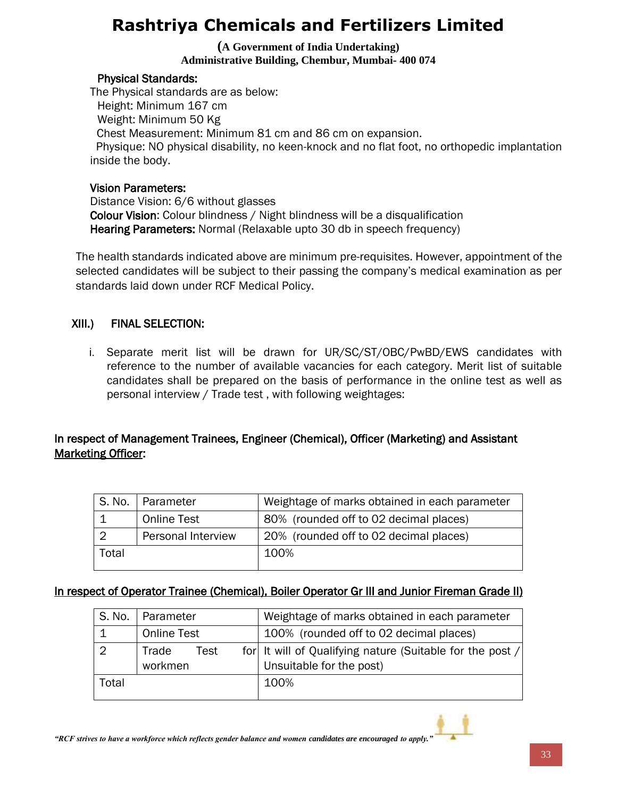**(A Government of India Undertaking) Administrative Building, Chembur, Mumbai- 400 074**

#### Physical Standards:

The Physical standards are as below: Height: Minimum 167 cm Weight: Minimum 50 Kg Chest Measurement: Minimum 81 cm and 86 cm on expansion. Physique: NO physical disability, no keen-knock and no flat foot, no orthopedic implantation inside the body.

#### Vision Parameters:

Distance Vision: 6/6 without glasses Colour Vision: Colour blindness / Night blindness will be a disqualification Hearing Parameters: Normal (Relaxable upto 30 db in speech frequency)

The health standards indicated above are minimum pre-requisites. However, appointment of the selected candidates will be subject to their passing the company's medical examination as per standards laid down under RCF Medical Policy.

### XIII.) FINAL SELECTION:

i. Separate merit list will be drawn for UR/SC/ST/OBC/PwBD/EWS candidates with reference to the number of available vacancies for each category. Merit list of suitable candidates shall be prepared on the basis of performance in the online test as well as personal interview / Trade test , with following weightages:

### In respect of Management Trainees, Engineer (Chemical), Officer (Marketing) and Assistant Marketing Officer:

|       | S. No.   Parameter        | Weightage of marks obtained in each parameter |
|-------|---------------------------|-----------------------------------------------|
|       | <b>Online Test</b>        | 80% (rounded off to 02 decimal places)        |
|       | <b>Personal Interview</b> | 20% (rounded off to 02 decimal places)        |
| Total |                           | 100%                                          |

### In respect of Operator Trainee (Chemical), Boiler Operator Gr III and Junior Fireman Grade II)

| S. No. | Parameter                | Weightage of marks obtained in each parameter                                         |
|--------|--------------------------|---------------------------------------------------------------------------------------|
|        | <b>Online Test</b>       | 100% (rounded off to 02 decimal places)                                               |
|        | Trade<br>Test<br>workmen | for It will of Qualifying nature (Suitable for the post /<br>Unsuitable for the post) |
| Total  |                          | 100%                                                                                  |

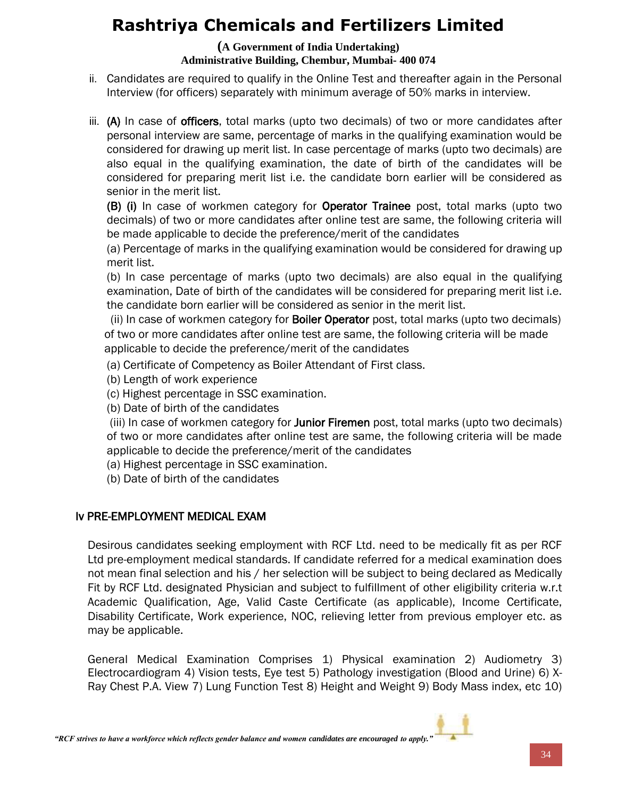#### **(A Government of India Undertaking) Administrative Building, Chembur, Mumbai- 400 074**

- ii. Candidates are required to qualify in the Online Test and thereafter again in the Personal Interview (for officers) separately with minimum average of 50% marks in interview.
- iii. (A) In case of **officers**, total marks (upto two decimals) of two or more candidates after personal interview are same, percentage of marks in the qualifying examination would be considered for drawing up merit list. In case percentage of marks (upto two decimals) are also equal in the qualifying examination, the date of birth of the candidates will be considered for preparing merit list i.e. the candidate born earlier will be considered as senior in the merit list.

(B) (i) In case of workmen category for Operator Trainee post, total marks (upto two decimals) of two or more candidates after online test are same, the following criteria will be made applicable to decide the preference/merit of the candidates

(a) Percentage of marks in the qualifying examination would be considered for drawing up merit list.

(b) In case percentage of marks (upto two decimals) are also equal in the qualifying examination, Date of birth of the candidates will be considered for preparing merit list i.e. the candidate born earlier will be considered as senior in the merit list.

(ii) In case of workmen category for **Boiler Operator** post, total marks (upto two decimals) of two or more candidates after online test are same, the following criteria will be made applicable to decide the preference/merit of the candidates

(a) Certificate of Competency as Boiler Attendant of First class.

(b) Length of work experience

(c) Highest percentage in SSC examination.

(b) Date of birth of the candidates

(iii) In case of workmen category for **Junior Firemen** post, total marks (upto two decimals) of two or more candidates after online test are same, the following criteria will be made applicable to decide the preference/merit of the candidates

(a) Highest percentage in SSC examination.

(b) Date of birth of the candidates

### Iv PRE-EMPLOYMENT MEDICAL EXAM

Desirous candidates seeking employment with RCF Ltd. need to be medically fit as per RCF Ltd pre-employment medical standards. If candidate referred for a medical examination does not mean final selection and his / her selection will be subject to being declared as Medically Fit by RCF Ltd. designated Physician and subject to fulfillment of other eligibility criteria w.r.t Academic Qualification, Age, Valid Caste Certificate (as applicable), Income Certificate, Disability Certificate, Work experience, NOC, relieving letter from previous employer etc. as may be applicable.

General Medical Examination Comprises 1) Physical examination 2) Audiometry 3) Electrocardiogram 4) Vision tests, Eye test 5) Pathology investigation (Blood and Urine) 6) X-Ray Chest P.A. View 7) Lung Function Test 8) Height and Weight 9) Body Mass index, etc 10)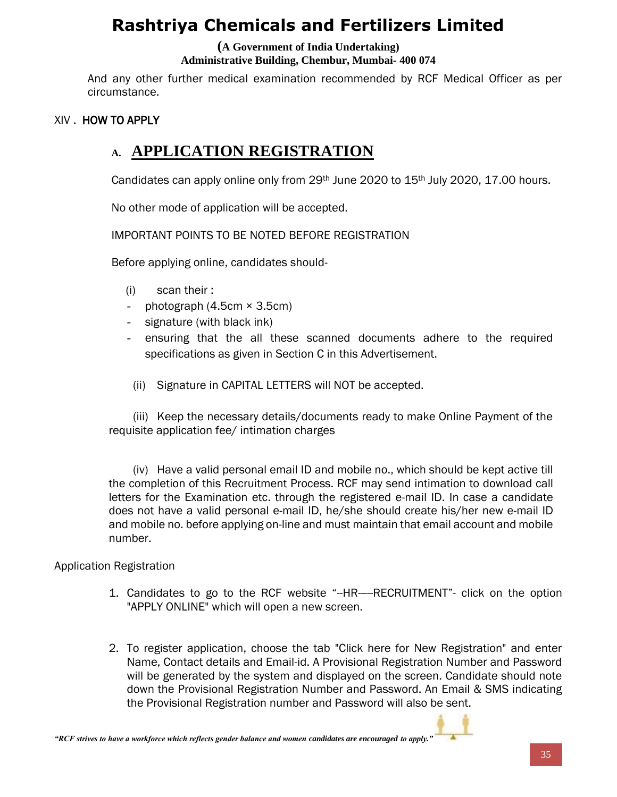### **(A Government of India Undertaking)**

#### **Administrative Building, Chembur, Mumbai- 400 074**

And any other further medical examination recommended by RCF Medical Officer as per circumstance.

#### XIV . HOW TO APPLY

### **A. APPLICATION REGISTRATION**

Candidates can apply online only from 29<sup>th</sup> June 2020 to 15<sup>th</sup> July 2020, 17.00 hours.

No other mode of application will be accepted.

IMPORTANT POINTS TO BE NOTED BEFORE REGISTRATION

Before applying online, candidates should-

- (i) scan their :
- photograph  $(4.5cm \times 3.5cm)$
- signature (with black ink)
- ensuring that the all these scanned documents adhere to the required specifications as given in Section C in this Advertisement.
- (ii) Signature in CAPITAL LETTERS will NOT be accepted.

(iii) Keep the necessary details/documents ready to make Online Payment of the requisite application fee/ intimation charges

(iv) Have a valid personal email ID and mobile no., which should be kept active till the completion of this Recruitment Process. RCF may send intimation to download call letters for the Examination etc. through the registered e-mail ID. In case a candidate does not have a valid personal e-mail ID, he/she should create his/her new e-mail ID and mobile no. before applying on-line and must maintain that email account and mobile number.

#### Application Registration

- 1. Candidates to go to the RCF website "--HR-----RECRUITMENT"- click on the option "APPLY ONLINE" which will open a new screen.
- 2. To register application, choose the tab "Click here for New Registration" and enter Name, Contact details and Email-id. A Provisional Registration Number and Password will be generated by the system and displayed on the screen. Candidate should note down the Provisional Registration Number and Password. An Email & SMS indicating the Provisional Registration number and Password will also be sent.

*"RCF strives to have a workforce which reflects gender balance and women candidates are encouraged to apply."*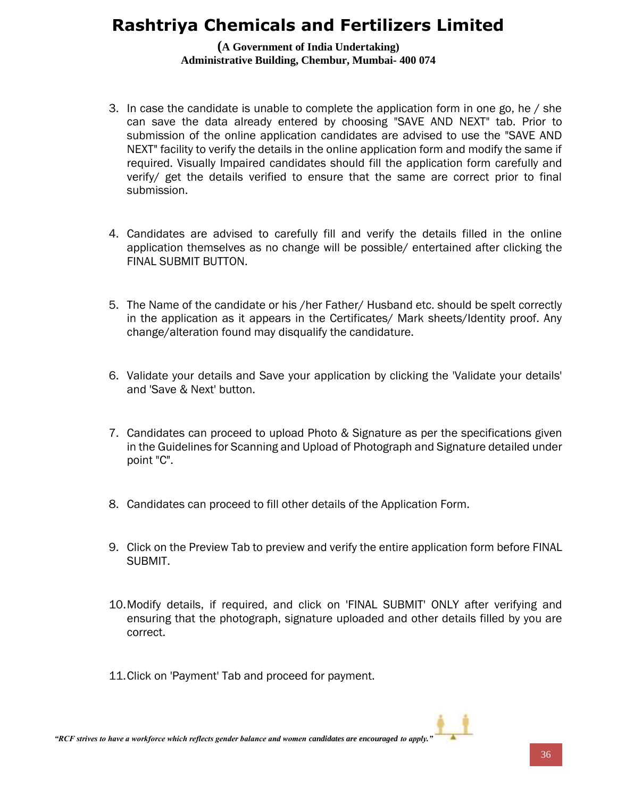#### **(A Government of India Undertaking) Administrative Building, Chembur, Mumbai- 400 074**

- 3. In case the candidate is unable to complete the application form in one go, he / she can save the data already entered by choosing "SAVE AND NEXT" tab. Prior to submission of the online application candidates are advised to use the "SAVE AND NEXT" facility to verify the details in the online application form and modify the same if required. Visually Impaired candidates should fill the application form carefully and verify/ get the details verified to ensure that the same are correct prior to final submission.
- 4. Candidates are advised to carefully fill and verify the details filled in the online application themselves as no change will be possible/ entertained after clicking the FINAL SUBMIT BUTTON.
- 5. The Name of the candidate or his /her Father/ Husband etc. should be spelt correctly in the application as it appears in the Certificates/ Mark sheets/Identity proof. Any change/alteration found may disqualify the candidature.
- 6. Validate your details and Save your application by clicking the 'Validate your details' and 'Save & Next' button.
- 7. Candidates can proceed to upload Photo & Signature as per the specifications given in the Guidelines for Scanning and Upload of Photograph and Signature detailed under point "C".
- 8. Candidates can proceed to fill other details of the Application Form.
- 9. Click on the Preview Tab to preview and verify the entire application form before FINAL SUBMIT.
- 10.Modify details, if required, and click on 'FINAL SUBMIT' ONLY after verifying and ensuring that the photograph, signature uploaded and other details filled by you are correct.
- 11.Click on 'Payment' Tab and proceed for payment.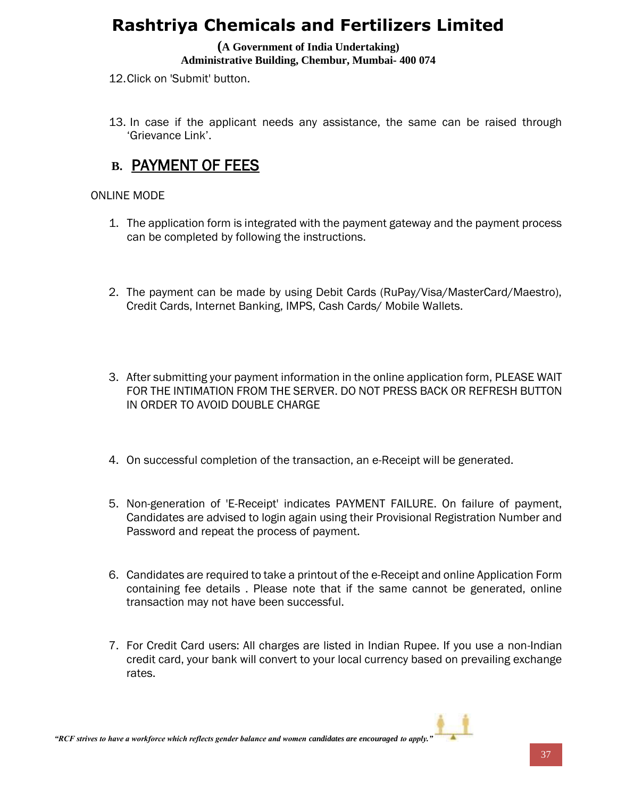#### **(A Government of India Undertaking) Administrative Building, Chembur, Mumbai- 400 074**

12.Click on 'Submit' button.

13. In case if the applicant needs any assistance, the same can be raised through 'Grievance Link'.

### **B.** PAYMENT OF FEES

#### ONLINE MODE

- 1. The application form is integrated with the payment gateway and the payment process can be completed by following the instructions.
- 2. The payment can be made by using Debit Cards (RuPay/Visa/MasterCard/Maestro), Credit Cards, Internet Banking, IMPS, Cash Cards/ Mobile Wallets.
- 3. After submitting your payment information in the online application form, PLEASE WAIT FOR THE INTIMATION FROM THE SERVER. DO NOT PRESS BACK OR REFRESH BUTTON IN ORDER TO AVOID DOUBLE CHARGE
- 4. On successful completion of the transaction, an e-Receipt will be generated.
- 5. Non-generation of 'E-Receipt' indicates PAYMENT FAILURE. On failure of payment, Candidates are advised to login again using their Provisional Registration Number and Password and repeat the process of payment.
- 6. Candidates are required to take a printout of the e-Receipt and online Application Form containing fee details . Please note that if the same cannot be generated, online transaction may not have been successful.
- 7. For Credit Card users: All charges are listed in Indian Rupee. If you use a non-Indian credit card, your bank will convert to your local currency based on prevailing exchange rates.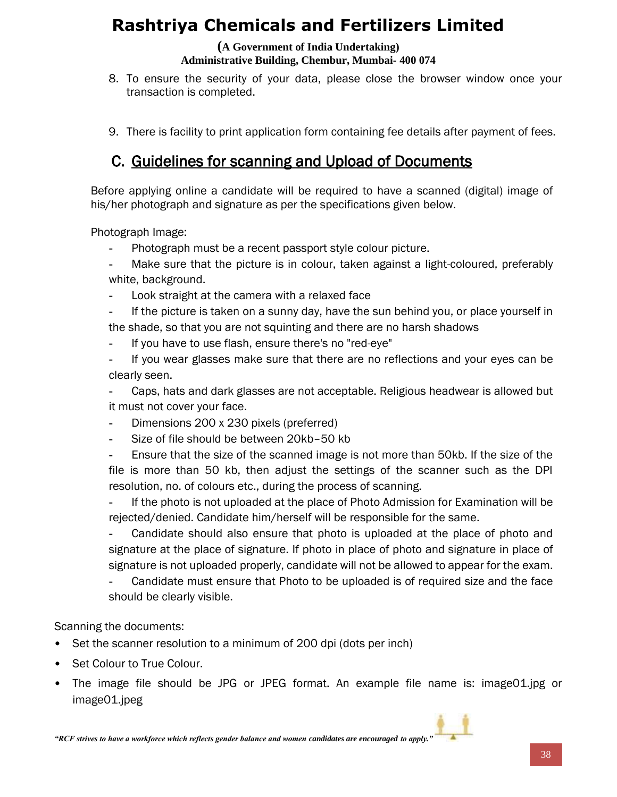#### **(A Government of India Undertaking) Administrative Building, Chembur, Mumbai- 400 074**

- 8. To ensure the security of your data, please close the browser window once your transaction is completed.
- 9. There is facility to print application form containing fee details after payment of fees.

### C. Guidelines for scanning and Upload of Documents

Before applying online a candidate will be required to have a scanned (digital) image of his/her photograph and signature as per the specifications given below.

Photograph Image:

- **-** Photograph must be a recent passport style colour picture.
- **-** Make sure that the picture is in colour, taken against a light-coloured, preferably white, background.
- **-** Look straight at the camera with a relaxed face
- **-** If the picture is taken on a sunny day, have the sun behind you, or place yourself in the shade, so that you are not squinting and there are no harsh shadows
- **-** If you have to use flash, ensure there's no "red-eye"
- **-** If you wear glasses make sure that there are no reflections and your eyes can be clearly seen.

**-** Caps, hats and dark glasses are not acceptable. Religious headwear is allowed but it must not cover your face.

- **-** Dimensions 200 x 230 pixels (preferred)
- **-** Size of file should be between 20kb–50 kb

**-** Ensure that the size of the scanned image is not more than 50kb. If the size of the file is more than 50 kb, then adjust the settings of the scanner such as the DPI resolution, no. of colours etc., during the process of scanning.

**-** If the photo is not uploaded at the place of Photo Admission for Examination will be rejected/denied. Candidate him/herself will be responsible for the same.

**-** Candidate should also ensure that photo is uploaded at the place of photo and signature at the place of signature. If photo in place of photo and signature in place of signature is not uploaded properly, candidate will not be allowed to appear for the exam.

**-** Candidate must ensure that Photo to be uploaded is of required size and the face should be clearly visible.

#### Scanning the documents:

- Set the scanner resolution to a minimum of 200 dpi (dots per inch)
- Set Colour to True Colour.
- The image file should be JPG or JPEG format. An example file name is: image01.jpg or image01.jpeg

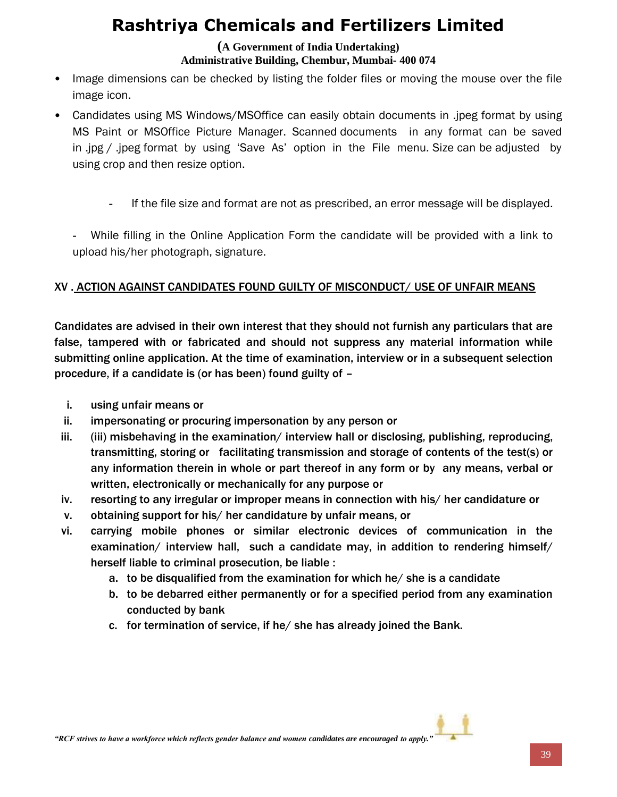#### **(A Government of India Undertaking) Administrative Building, Chembur, Mumbai- 400 074**

- Image dimensions can be checked by listing the folder files or moving the mouse over the file image icon.
- Candidates using MS Windows/MSOffice can easily obtain documents in .jpeg format by using MS Paint or MSOffice Picture Manager. Scanned documents in any format can be saved in .jpg / .jpeg format by using 'Save As' option in the File menu. Size can be adjusted by using crop and then resize option.
	- **-** If the file size and format are not as prescribed, an error message will be displayed.

**-** While filling in the Online Application Form the candidate will be provided with a link to upload his/her photograph, signature.

### XV . ACTION AGAINST CANDIDATES FOUND GUILTY OF MISCONDUCT/ USE OF UNFAIR MEANS

Candidates are advised in their own interest that they should not furnish any particulars that are false, tampered with or fabricated and should not suppress any material information while submitting online application. At the time of examination, interview or in a subsequent selection procedure, if a candidate is (or has been) found guilty of –

- i. using unfair means or
- ii. impersonating or procuring impersonation by any person or
- iii. (iii) misbehaving in the examination/ interview hall or disclosing, publishing, reproducing, transmitting, storing or facilitating transmission and storage of contents of the test(s) or any information therein in whole or part thereof in any form or by any means, verbal or written, electronically or mechanically for any purpose or
- iv. resorting to any irregular or improper means in connection with his/ her candidature or
- v. obtaining support for his/ her candidature by unfair means, or
- vi. carrying mobile phones or similar electronic devices of communication in the examination/ interview hall, such a candidate may, in addition to rendering himself/ herself liable to criminal prosecution, be liable :
	- a. to be disqualified from the examination for which he/ she is a candidate
	- b. to be debarred either permanently or for a specified period from any examination conducted by bank
	- c. for termination of service, if he/ she has already joined the Bank.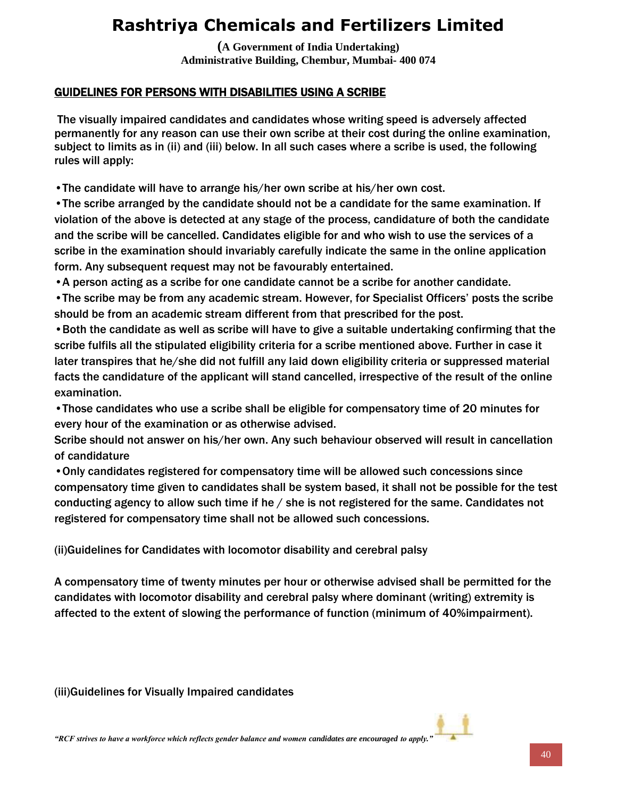**(A Government of India Undertaking) Administrative Building, Chembur, Mumbai- 400 074**

### GUIDELINES FOR PERSONS WITH DISABILITIES USING A SCRIBE

The visually impaired candidates and candidates whose writing speed is adversely affected permanently for any reason can use their own scribe at their cost during the online examination, subject to limits as in (ii) and (iii) below. In all such cases where a scribe is used, the following rules will apply:

•The candidate will have to arrange his/her own scribe at his/her own cost.

•The scribe arranged by the candidate should not be a candidate for the same examination. If violation of the above is detected at any stage of the process, candidature of both the candidate and the scribe will be cancelled. Candidates eligible for and who wish to use the services of a scribe in the examination should invariably carefully indicate the same in the online application form. Any subsequent request may not be favourably entertained.

•A person acting as a scribe for one candidate cannot be a scribe for another candidate.

•The scribe may be from any academic stream. However, for Specialist Officers' posts the scribe should be from an academic stream different from that prescribed for the post.

•Both the candidate as well as scribe will have to give a suitable undertaking confirming that the scribe fulfils all the stipulated eligibility criteria for a scribe mentioned above. Further in case it later transpires that he/she did not fulfill any laid down eligibility criteria or suppressed material facts the candidature of the applicant will stand cancelled, irrespective of the result of the online examination.

•Those candidates who use a scribe shall be eligible for compensatory time of 20 minutes for every hour of the examination or as otherwise advised.

Scribe should not answer on his/her own. Any such behaviour observed will result in cancellation of candidature

•Only candidates registered for compensatory time will be allowed such concessions since compensatory time given to candidates shall be system based, it shall not be possible for the test conducting agency to allow such time if he / she is not registered for the same. Candidates not registered for compensatory time shall not be allowed such concessions.

(ii)Guidelines for Candidates with locomotor disability and cerebral palsy

A compensatory time of twenty minutes per hour or otherwise advised shall be permitted for the candidates with locomotor disability and cerebral palsy where dominant (writing) extremity is affected to the extent of slowing the performance of function (minimum of 40%impairment).

(iii)Guidelines for Visually Impaired candidates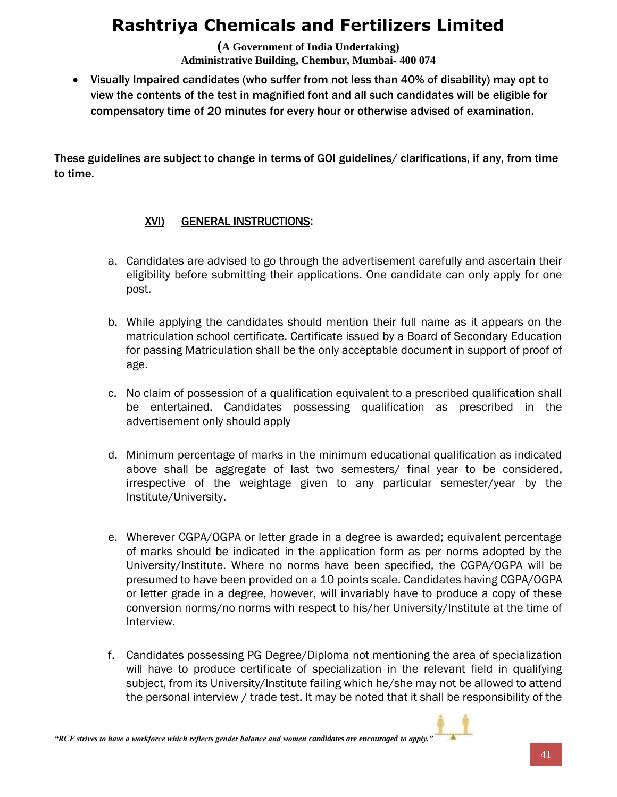**(A Government of India Undertaking) Administrative Building, Chembur, Mumbai- 400 074**

 Visually Impaired candidates (who suffer from not less than 40% of disability) may opt to view the contents of the test in magnified font and all such candidates will be eligible for compensatory time of 20 minutes for every hour or otherwise advised of examination.

These guidelines are subject to change in terms of GOI guidelines/ clarifications, if any, from time to time.

### XVI) GENERAL INSTRUCTIONS:

- a. Candidates are advised to go through the advertisement carefully and ascertain their eligibility before submitting their applications. One candidate can only apply for one post.
- b. While applying the candidates should mention their full name as it appears on the matriculation school certificate. Certificate issued by a Board of Secondary Education for passing Matriculation shall be the only acceptable document in support of proof of age.
- c. No claim of possession of a qualification equivalent to a prescribed qualification shall be entertained. Candidates possessing qualification as prescribed in the advertisement only should apply
- d. Minimum percentage of marks in the minimum educational qualification as indicated above shall be aggregate of last two semesters/ final year to be considered, irrespective of the weightage given to any particular semester/year by the Institute/University.
- e. Wherever CGPA/OGPA or letter grade in a degree is awarded; equivalent percentage of marks should be indicated in the application form as per norms adopted by the University/Institute. Where no norms have been specified, the CGPA/OGPA will be presumed to have been provided on a 10 points scale. Candidates having CGPA/OGPA or letter grade in a degree, however, will invariably have to produce a copy of these conversion norms/no norms with respect to his/her University/Institute at the time of Interview.
- f. Candidates possessing PG Degree/Diploma not mentioning the area of specialization will have to produce certificate of specialization in the relevant field in qualifying subject, from its University/Institute failing which he/she may not be allowed to attend the personal interview / trade test. It may be noted that it shall be responsibility of the

*"RCF strives to have a workforce which reflects gender balance and women candidates are encouraged to apply."*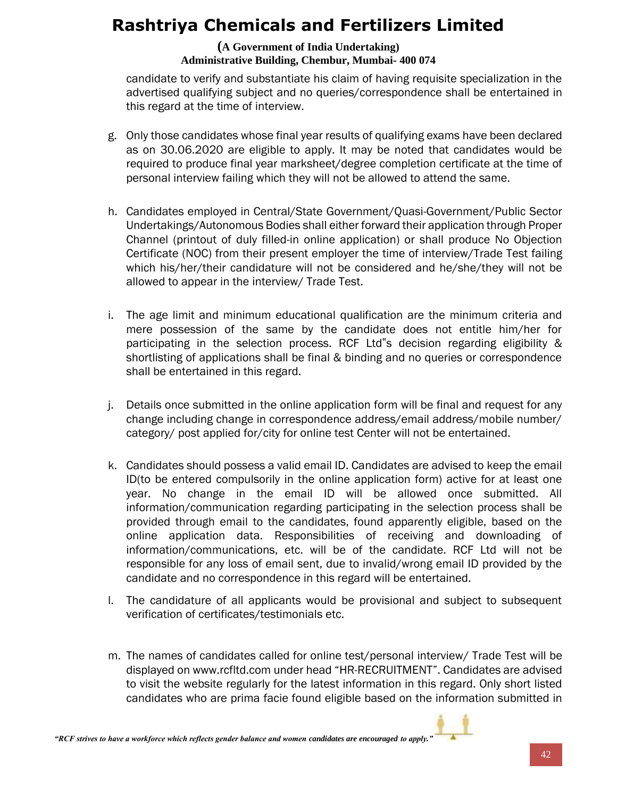#### **(A Government of India Undertaking) Administrative Building, Chembur, Mumbai- 400 074**

candidate to verify and substantiate his claim of having requisite specialization in the advertised qualifying subject and no queries/correspondence shall be entertained in this regard at the time of interview.

- g. Only those candidates whose final year results of qualifying exams have been declared as on 30.06.2020 are eligible to apply. It may be noted that candidates would be required to produce final year marksheet/degree completion certificate at the time of personal interview failing which they will not be allowed to attend the same.
- h. Candidates employed in Central/State Government/Quasi-Government/Public Sector Undertakings/Autonomous Bodies shall either forward their application through Proper Channel (printout of duly filled-in online application) or shall produce No Objection Certificate (NOC) from their present employer the time of interview/Trade Test failing which his/her/their candidature will not be considered and he/she/they will not be allowed to appear in the interview/ Trade Test.
- i. The age limit and minimum educational qualification are the minimum criteria and mere possession of the same by the candidate does not entitle him/her for participating in the selection process. RCF Ltd"s decision regarding eligibility & shortlisting of applications shall be final & binding and no queries or correspondence shall be entertained in this regard.
- j. Details once submitted in the online application form will be final and request for any change including change in correspondence address/email address/mobile number/ category/ post applied for/city for online test Center will not be entertained.
- k. Candidates should possess a valid email ID. Candidates are advised to keep the email ID(to be entered compulsorily in the online application form) active for at least one year. No change in the email ID will be allowed once submitted. All information/communication regarding participating in the selection process shall be provided through email to the candidates, found apparently eligible, based on the online application data. Responsibilities of receiving and downloading of information/communications, etc. will be of the candidate. RCF Ltd will not be responsible for any loss of email sent, due to invalid/wrong email ID provided by the candidate and no correspondence in this regard will be entertained.
- l. The candidature of all applicants would be provisional and subject to subsequent verification of certificates/testimonials etc.
- m. The names of candidates called for online test/personal interview/ Trade Test will be displayed on www.rcfltd.com under head "HR-RECRUITMENT". Candidates are advised to visit the website regularly for the latest information in this regard. Only short listed candidates who are prima facie found eligible based on the information submitted in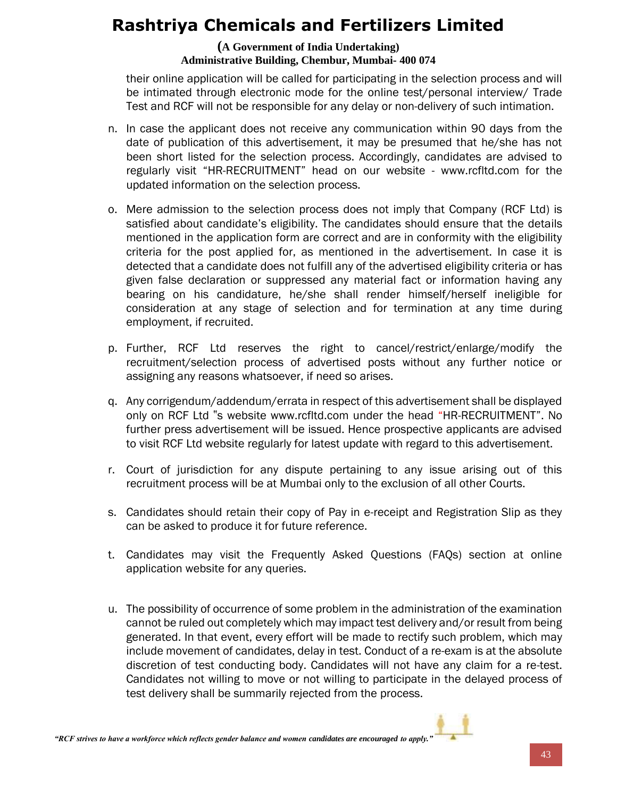#### **(A Government of India Undertaking) Administrative Building, Chembur, Mumbai- 400 074**

their online application will be called for participating in the selection process and will be intimated through electronic mode for the online test/personal interview/ Trade Test and RCF will not be responsible for any delay or non-delivery of such intimation.

- n. In case the applicant does not receive any communication within 90 days from the date of publication of this advertisement, it may be presumed that he/she has not been short listed for the selection process. Accordingly, candidates are advised to regularly visit "HR-RECRUITMENT" head on our website - www.rcfltd.com for the updated information on the selection process.
- o. Mere admission to the selection process does not imply that Company (RCF Ltd) is satisfied about candidate's eligibility. The candidates should ensure that the details mentioned in the application form are correct and are in conformity with the eligibility criteria for the post applied for, as mentioned in the advertisement. In case it is detected that a candidate does not fulfill any of the advertised eligibility criteria or has given false declaration or suppressed any material fact or information having any bearing on his candidature, he/she shall render himself/herself ineligible for consideration at any stage of selection and for termination at any time during employment, if recruited.
- p. Further, RCF Ltd reserves the right to cancel/restrict/enlarge/modify the recruitment/selection process of advertised posts without any further notice or assigning any reasons whatsoever, if need so arises.
- q. Any corrigendum/addendum/errata in respect of this advertisement shall be displayed only on RCF Ltd "s website www.rcfltd.com under the head "HR-RECRUITMENT". No further press advertisement will be issued. Hence prospective applicants are advised to visit RCF Ltd website regularly for latest update with regard to this advertisement.
- r. Court of jurisdiction for any dispute pertaining to any issue arising out of this recruitment process will be at Mumbai only to the exclusion of all other Courts.
- s. Candidates should retain their copy of Pay in e-receipt and Registration Slip as they can be asked to produce it for future reference.
- t. Candidates may visit the Frequently Asked Questions (FAQs) section at online application website for any queries.
- u. The possibility of occurrence of some problem in the administration of the examination cannot be ruled out completely which may impact test delivery and/or result from being generated. In that event, every effort will be made to rectify such problem, which may include movement of candidates, delay in test. Conduct of a re-exam is at the absolute discretion of test conducting body. Candidates will not have any claim for a re-test. Candidates not willing to move or not willing to participate in the delayed process of test delivery shall be summarily rejected from the process.

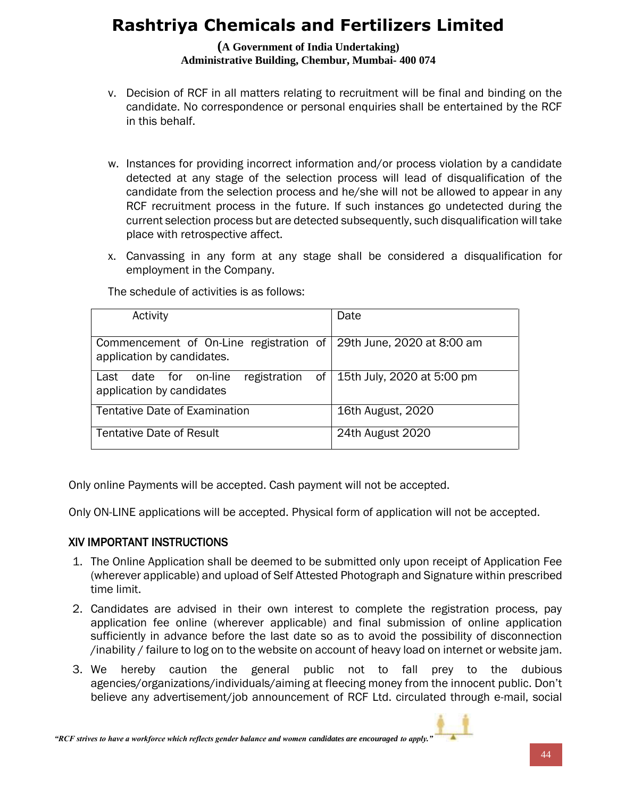**(A Government of India Undertaking) Administrative Building, Chembur, Mumbai- 400 074**

- v. Decision of RCF in all matters relating to recruitment will be final and binding on the candidate. No correspondence or personal enquiries shall be entertained by the RCF in this behalf.
- w. Instances for providing incorrect information and/or process violation by a candidate detected at any stage of the selection process will lead of disqualification of the candidate from the selection process and he/she will not be allowed to appear in any RCF recruitment process in the future. If such instances go undetected during the current selection process but are detected subsequently, such disqualification will take place with retrospective affect.
- x. Canvassing in any form at any stage shall be considered a disqualification for employment in the Company.

| Activity                                                           | Date                       |
|--------------------------------------------------------------------|----------------------------|
|                                                                    |                            |
| Commencement of On-Line registration of 29th June, 2020 at 8:00 am |                            |
| application by candidates.                                         |                            |
| of 1<br>registration<br>for on-line<br>date<br>Last                | 15th July, 2020 at 5:00 pm |
| application by candidates                                          |                            |
|                                                                    |                            |
| <b>Tentative Date of Examination</b>                               | 16th August, 2020          |
|                                                                    |                            |
| <b>Tentative Date of Result</b>                                    | 24th August 2020           |
|                                                                    |                            |

The schedule of activities is as follows:

Only online Payments will be accepted. Cash payment will not be accepted.

Only ON-LINE applications will be accepted. Physical form of application will not be accepted.

#### XIV IMPORTANT INSTRUCTIONS

- 1. The Online Application shall be deemed to be submitted only upon receipt of Application Fee (wherever applicable) and upload of Self Attested Photograph and Signature within prescribed time limit.
- 2. Candidates are advised in their own interest to complete the registration process, pay application fee online (wherever applicable) and final submission of online application sufficiently in advance before the last date so as to avoid the possibility of disconnection /inability / failure to log on to the website on account of heavy load on internet or website jam.
- 3. We hereby caution the general public not to fall prey to the dubious agencies/organizations/individuals/aiming at fleecing money from the innocent public. Don't believe any advertisement/job announcement of RCF Ltd. circulated through e-mail, social